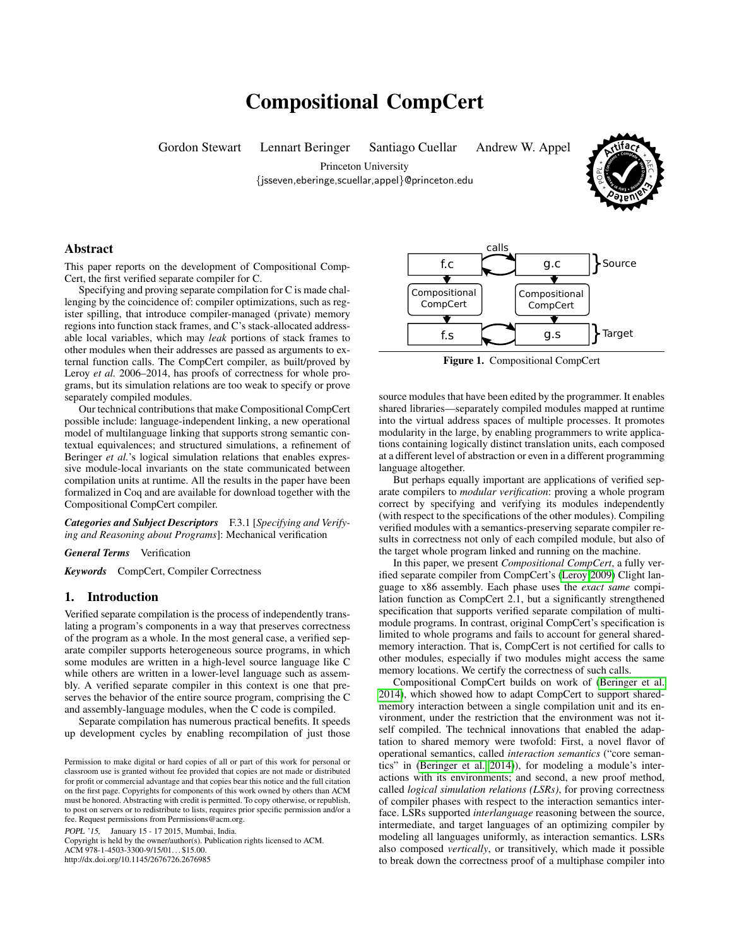# Compositional CompCert

Gordon Stewart Lennart Beringer Santiago Cuellar Andrew W. Appel

Princeton University {jsseven,eberinge,scuellar,appel}@princeton.edu



# Abstract

This paper reports on the development of Compositional Comp-Cert, the first verified separate compiler for C.

Specifying and proving separate compilation for C is made challenging by the coincidence of: compiler optimizations, such as register spilling, that introduce compiler-managed (private) memory regions into function stack frames, and C's stack-allocated addressable local variables, which may *leak* portions of stack frames to other modules when their addresses are passed as arguments to external function calls. The CompCert compiler, as built/proved by Leroy *et al.* 2006–2014, has proofs of correctness for whole programs, but its simulation relations are too weak to specify or prove separately compiled modules.

Our technical contributions that make Compositional CompCert possible include: language-independent linking, a new operational model of multilanguage linking that supports strong semantic contextual equivalences; and structured simulations, a refinement of Beringer *et al.*'s logical simulation relations that enables expressive module-local invariants on the state communicated between compilation units at runtime. All the results in the paper have been formalized in Coq and are available for download together with the Compositional CompCert compiler.

*Categories and Subject Descriptors* F.3.1 [*Specifying and Verifying and Reasoning about Programs*]: Mechanical verification

*General Terms* Verification

*Keywords* CompCert, Compiler Correctness

### 1. Introduction

Verified separate compilation is the process of independently translating a program's components in a way that preserves correctness of the program as a whole. In the most general case, a verified separate compiler supports heterogeneous source programs, in which some modules are written in a high-level source language like C while others are written in a lower-level language such as assembly. A verified separate compiler in this context is one that preserves the behavior of the entire source program, comprising the C and assembly-language modules, when the C code is compiled.

Separate compilation has numerous practical benefits. It speeds up development cycles by enabling recompilation of just those

POPL '15, January 15 - 17 2015, Mumbai, India.

Copyright is held by the owner/author(s). Publication rights licensed to ACM. ACM 978-1-4503-3300-9/15/01... \$15.00.

http://dx.doi.org/10.1145/2676726.2676985



<span id="page-0-0"></span>Figure 1. Compositional CompCert

source modules that have been edited by the programmer. It enables shared libraries—separately compiled modules mapped at runtime into the virtual address spaces of multiple processes. It promotes modularity in the large, by enabling programmers to write applications containing logically distinct translation units, each composed at a different level of abstraction or even in a different programming language altogether.

But perhaps equally important are applications of verified separate compilers to *modular verification*: proving a whole program correct by specifying and verifying its modules independently (with respect to the specifications of the other modules). Compiling verified modules with a semantics-preserving separate compiler results in correctness not only of each compiled module, but also of the target whole program linked and running on the machine.

In this paper, we present *Compositional CompCert*, a fully verified separate compiler from CompCert's [\(Leroy 2009\)](#page-12-0) Clight language to x86 assembly. Each phase uses the *exact same* compilation function as CompCert 2.1, but a significantly strengthened specification that supports verified separate compilation of multimodule programs. In contrast, original CompCert's specification is limited to whole programs and fails to account for general sharedmemory interaction. That is, CompCert is not certified for calls to other modules, especially if two modules might access the same memory locations. We certify the correctness of such calls.

Compositional CompCert builds on work of [\(Beringer et al.](#page-12-1) [2014\)](#page-12-1), which showed how to adapt CompCert to support sharedmemory interaction between a single compilation unit and its environment, under the restriction that the environment was not itself compiled. The technical innovations that enabled the adaptation to shared memory were twofold: First, a novel flavor of operational semantics, called *interaction semantics* ("core semantics" in [\(Beringer et al. 2014\)](#page-12-1)), for modeling a module's interactions with its environments; and second, a new proof method, called *logical simulation relations (LSRs)*, for proving correctness of compiler phases with respect to the interaction semantics interface. LSRs supported *interlanguage* reasoning between the source, intermediate, and target languages of an optimizing compiler by modeling all languages uniformly, as interaction semantics. LSRs also composed *vertically*, or transitively, which made it possible to break down the correctness proof of a multiphase compiler into

Permission to make digital or hard copies of all or part of this work for personal or classroom use is granted without fee provided that copies are not made or distributed for profit or commercial advantage and that copies bear this notice and the full citation on the first page. Copyrights for components of this work owned by others than ACM must be honored. Abstracting with credit is permitted. To copy otherwise, or republish, to post on servers or to redistribute to lists, requires prior specific permission and/or a fee. Request permissions from Permissions@acm.org.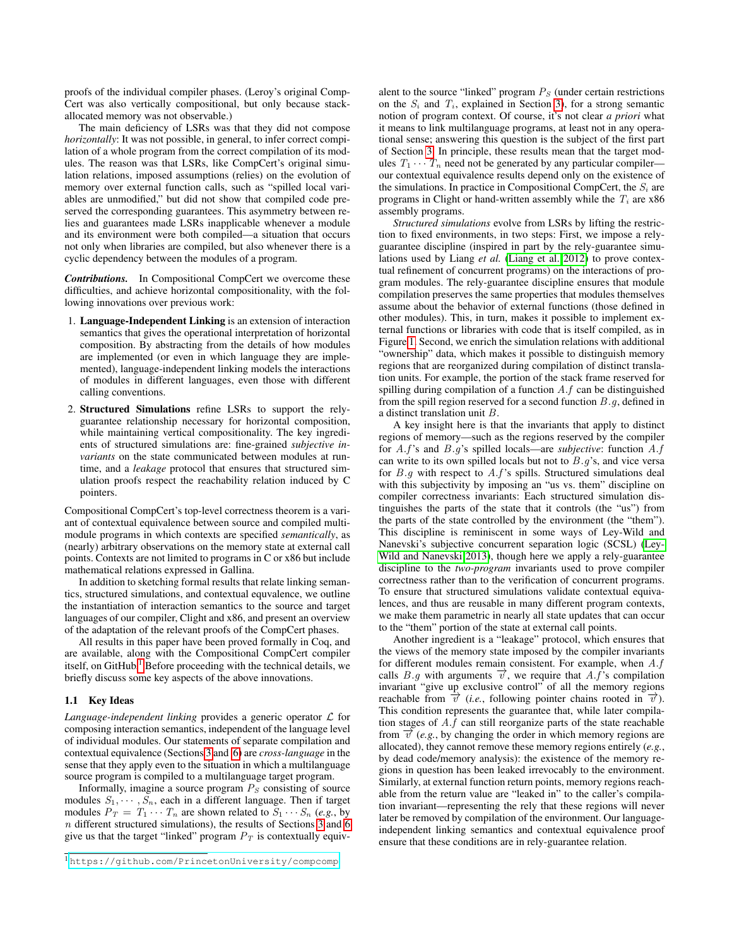proofs of the individual compiler phases. (Leroy's original Comp-Cert was also vertically compositional, but only because stackallocated memory was not observable.)

The main deficiency of LSRs was that they did not compose *horizontally*: It was not possible, in general, to infer correct compilation of a whole program from the correct compilation of its modules. The reason was that LSRs, like CompCert's original simulation relations, imposed assumptions (relies) on the evolution of memory over external function calls, such as "spilled local variables are unmodified," but did not show that compiled code preserved the corresponding guarantees. This asymmetry between relies and guarantees made LSRs inapplicable whenever a module and its environment were both compiled—a situation that occurs not only when libraries are compiled, but also whenever there is a cyclic dependency between the modules of a program.

*Contributions.* In Compositional CompCert we overcome these difficulties, and achieve horizontal compositionality, with the following innovations over previous work:

- 1. Language-Independent Linking is an extension of interaction semantics that gives the operational interpretation of horizontal composition. By abstracting from the details of how modules are implemented (or even in which language they are implemented), language-independent linking models the interactions of modules in different languages, even those with different calling conventions.
- 2. Structured Simulations refine LSRs to support the relyguarantee relationship necessary for horizontal composition, while maintaining vertical compositionality. The key ingredients of structured simulations are: fine-grained *subjective invariants* on the state communicated between modules at runtime, and a *leakage* protocol that ensures that structured simulation proofs respect the reachability relation induced by C pointers.

Compositional CompCert's top-level correctness theorem is a variant of contextual equivalence between source and compiled multimodule programs in which contexts are specified *semantically*, as (nearly) arbitrary observations on the memory state at external call points. Contexts are not limited to programs in C or x86 but include mathematical relations expressed in Gallina.

In addition to sketching formal results that relate linking semantics, structured simulations, and contextual equvalence, we outline the instantiation of interaction semantics to the source and target languages of our compiler, Clight and x86, and present an overview of the adaptation of the relevant proofs of the CompCert phases.

All results in this paper have been proved formally in Coq, and are available, along with the Compositional CompCert compiler itself, on  $G$ itHub.<sup>[1](#page-1-0)</sup> Before proceeding with the technical details, we briefly discuss some key aspects of the above innovations.

#### 1.1 Key Ideas

*Language-independent linking* provides a generic operator L for composing interaction semantics, independent of the language level of individual modules. Our statements of separate compilation and contextual equivalence (Sections [3](#page-4-0) and [6\)](#page-10-0) are *cross-language* in the sense that they apply even to the situation in which a multilanguage source program is compiled to a multilanguage target program.

Informally, imagine a source program  $P<sub>S</sub>$  consisting of source modules  $S_1, \dots, S_n$ , each in a different language. Then if target modules  $P_T = T_1 \cdots T_n$  are shown related to  $S_1 \cdots S_n$  (*e.g.*, by n different structured simulations), the results of Sections [3](#page-4-0) and [6](#page-10-0) give us that the target "linked" program  $P<sub>T</sub>$  is contextually equivalent to the source "linked" program  $P<sub>S</sub>$  (under certain restrictions on the  $S_i$  and  $T_i$ , explained in Section [3\)](#page-4-0), for a strong semantic notion of program context. Of course, it's not clear *a priori* what it means to link multilanguage programs, at least not in any operational sense; answering this question is the subject of the first part of Section [3.](#page-4-0) In principle, these results mean that the target modules  $T_1 \cdots T_n$  need not be generated by any particular compiler our contextual equivalence results depend only on the existence of the simulations. In practice in Compositional CompCert, the  $S_i$  are programs in Clight or hand-written assembly while the  $T_i$  are x86 assembly programs.

*Structured simulations* evolve from LSRs by lifting the restriction to fixed environments, in two steps: First, we impose a relyguarantee discipline (inspired in part by the rely-guarantee simulations used by Liang *et al.* [\(Liang et al. 2012\)](#page-12-2) to prove contextual refinement of concurrent programs) on the interactions of program modules. The rely-guarantee discipline ensures that module compilation preserves the same properties that modules themselves assume about the behavior of external functions (those defined in other modules). This, in turn, makes it possible to implement external functions or libraries with code that is itself compiled, as in Figure [1.](#page-0-0) Second, we enrich the simulation relations with additional "ownership" data, which makes it possible to distinguish memory regions that are reorganized during compilation of distinct translation units. For example, the portion of the stack frame reserved for spilling during compilation of a function  $A.f$  can be distinguished from the spill region reserved for a second function  $B.g.$  defined in a distinct translation unit B.

A key insight here is that the invariants that apply to distinct regions of memory—such as the regions reserved by the compiler for A.f 's and B.g's spilled locals—are *subjective*: function A.f can write to its own spilled locals but not to  $B.g$ 's, and vice versa for  $B.g$  with respect to  $A.f$ 's spills. Structured simulations deal with this subjectivity by imposing an "us vs. them" discipline on compiler correctness invariants: Each structured simulation distinguishes the parts of the state that it controls (the "us") from the parts of the state controlled by the environment (the "them"). This discipline is reminiscent in some ways of Ley-Wild and Nanevski's subjective concurrent separation logic (SCSL) [\(Ley-](#page-12-3)[Wild and Nanevski 2013\)](#page-12-3), though here we apply a rely-guarantee discipline to the *two-program* invariants used to prove compiler correctness rather than to the verification of concurrent programs. To ensure that structured simulations validate contextual equivalences, and thus are reusable in many different program contexts, we make them parametric in nearly all state updates that can occur to the "them" portion of the state at external call points.

Another ingredient is a "leakage" protocol, which ensures that the views of the memory state imposed by the compiler invariants for different modules remain consistent. For example, when A.f calls B.g with arguments  $\vec{v}$ , we require that A.f's compilation invariant "give up exclusive control" of all the memory regions reachable from  $\vec{v}$  (*i.e.*, following pointer chains rooted in  $\vec{v}$ ). This condition represents the guarantee that, while later compilation stages of  $A.\bar{f}$  can still reorganize parts of the state reachable from  $\overrightarrow{v}$  (*e.g.*, by changing the order in which memory regions are allocated), they cannot remove these memory regions entirely (*e.g.*, by dead code/memory analysis): the existence of the memory regions in question has been leaked irrevocably to the environment. Similarly, at external function return points, memory regions reachable from the return value are "leaked in" to the caller's compilation invariant—representing the rely that these regions will never later be removed by compilation of the environment. Our languageindependent linking semantics and contextual equivalence proof ensure that these conditions are in rely-guarantee relation.

<span id="page-1-0"></span><sup>1</sup> <https://github.com/PrincetonUniversity/compcomp>.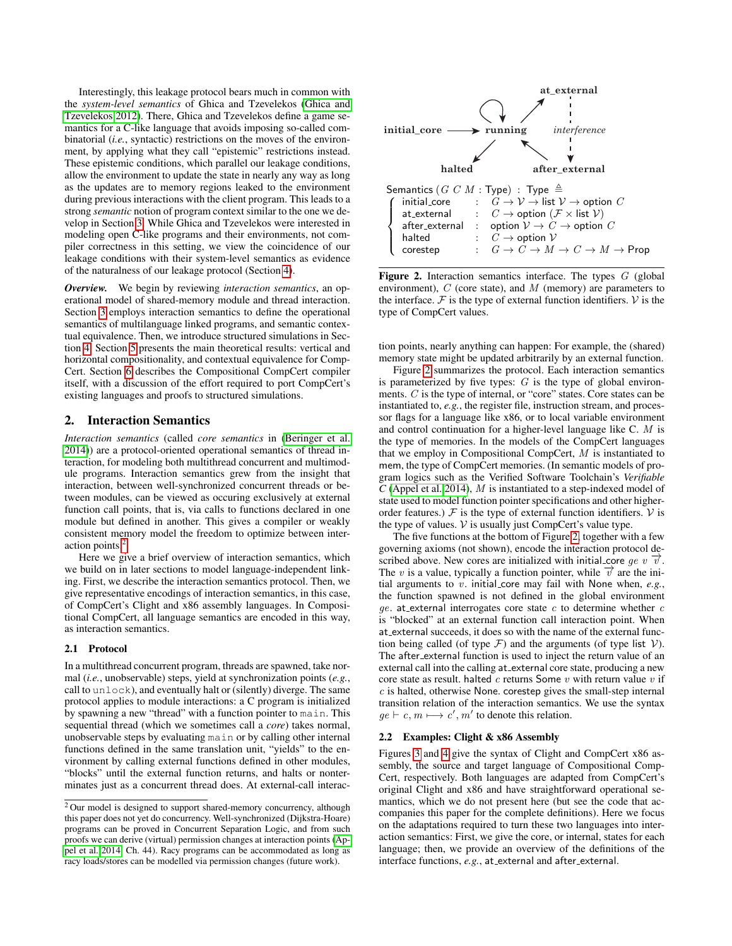Interestingly, this leakage protocol bears much in common with the *system-level semantics* of Ghica and Tzevelekos [\(Ghica and](#page-12-4) [Tzevelekos 2012\)](#page-12-4). There, Ghica and Tzevelekos define a game semantics for a C-like language that avoids imposing so-called combinatorial (*i.e.*, syntactic) restrictions on the moves of the environment, by applying what they call "epistemic" restrictions instead. These epistemic conditions, which parallel our leakage conditions, allow the environment to update the state in nearly any way as long as the updates are to memory regions leaked to the environment during previous interactions with the client program. This leads to a strong *semantic* notion of program context similar to the one we develop in Section [3.](#page-5-0) While Ghica and Tzevelekos were interested in modeling open C-like programs and their environments, not compiler correctness in this setting, we view the coincidence of our leakage conditions with their system-level semantics as evidence of the naturalness of our leakage protocol (Section [4\)](#page-5-1).

*Overview.* We begin by reviewing *interaction semantics*, an operational model of shared-memory module and thread interaction. Section [3](#page-4-0) employs interaction semantics to define the operational semantics of multilanguage linked programs, and semantic contextual equivalence. Then, we introduce structured simulations in Section [4.](#page-5-1) Section [5](#page-8-0) presents the main theoretical results: vertical and horizontal compositionality, and contextual equivalence for Comp-Cert. Section [6](#page-10-0) describes the Compositional CompCert compiler itself, with a discussion of the effort required to port CompCert's existing languages and proofs to structured simulations.

#### 2. Interaction Semantics

*Interaction semantics* (called *core semantics* in [\(Beringer et al.](#page-12-1) [2014\)](#page-12-1)) are a protocol-oriented operational semantics of thread interaction, for modeling both multithread concurrent and multimodule programs. Interaction semantics grew from the insight that interaction, between well-synchronized concurrent threads or between modules, can be viewed as occuring exclusively at external function call points, that is, via calls to functions declared in one module but defined in another. This gives a compiler or weakly consistent memory model the freedom to optimize between interaction points.[2](#page-2-0)

Here we give a brief overview of interaction semantics, which we build on in later sections to model language-independent linking. First, we describe the interaction semantics protocol. Then, we give representative encodings of interaction semantics, in this case, of CompCert's Clight and x86 assembly languages. In Compositional CompCert, all language semantics are encoded in this way, as interaction semantics.

#### 2.1 Protocol

In a multithread concurrent program, threads are spawned, take normal (*i.e.*, unobservable) steps, yield at synchronization points (*e.g.*, call to unlock), and eventually halt or (silently) diverge. The same protocol applies to module interactions: a C program is initialized by spawning a new "thread" with a function pointer to main. This sequential thread (which we sometimes call a *core*) takes normal, unobservable steps by evaluating main or by calling other internal functions defined in the same translation unit, "yields" to the environment by calling external functions defined in other modules, "blocks" until the external function returns, and halts or nonterminates just as a concurrent thread does. At external-call interac-



<span id="page-2-1"></span>Figure 2. Interaction semantics interface. The types  $G$  (global environment),  $C$  (core state), and  $M$  (memory) are parameters to the interface.  $\mathcal F$  is the type of external function identifiers.  $\mathcal V$  is the type of CompCert values.

tion points, nearly anything can happen: For example, the (shared) memory state might be updated arbitrarily by an external function.

Figure [2](#page-2-1) summarizes the protocol. Each interaction semantics is parameterized by five types:  $G$  is the type of global environments. C is the type of internal, or "core" states. Core states can be instantiated to, *e.g.*, the register file, instruction stream, and processor flags for a language like x86, or to local variable environment and control continuation for a higher-level language like C. M is the type of memories. In the models of the CompCert languages that we employ in Compositional CompCert, M is instantiated to mem, the type of CompCert memories. (In semantic models of program logics such as the Verified Software Toolchain's *Verifiable C* [\(Appel et al. 2014\)](#page-12-5), M is instantiated to a step-indexed model of state used to model function pointer specifications and other higherorder features.)  $\mathcal F$  is the type of external function identifiers.  $\mathcal V$  is the type of values.  $V$  is usually just CompCert's value type.

The five functions at the bottom of Figure [2,](#page-2-1) together with a few governing axioms (not shown), encode the interaction protocol described above. New cores are initialized with initial core ge v  $\vec{v}$ . The v is a value, typically a function pointer, while  $\vec{v}$  are the initial arguments to v. initial core may fail with None when, *e.g.*, the function spawned is not defined in the global environment ge. at external interrogates core state  $c$  to determine whether  $c$ is "blocked" at an external function call interaction point. When at external succeeds, it does so with the name of the external function being called (of type  $\mathcal F$ ) and the arguments (of type list  $\mathcal V$ ). The after external function is used to inject the return value of an external call into the calling at external core state, producing a new core state as result. halted  $c$  returns Some  $v$  with return value  $v$  if  $c$  is halted, otherwise None. corestep gives the small-step internal transition relation of the interaction semantics. We use the syntax  $ge \vdash c, m \longmapsto c', m'$  to denote this relation.

#### 2.2 Examples: Clight & x86 Assembly

Figures [3](#page-3-0) and [4](#page-3-1) give the syntax of Clight and CompCert x86 assembly, the source and target language of Compositional Comp-Cert, respectively. Both languages are adapted from CompCert's original Clight and x86 and have straightforward operational semantics, which we do not present here (but see the code that accompanies this paper for the complete definitions). Here we focus on the adaptations required to turn these two languages into interaction semantics: First, we give the core, or internal, states for each language; then, we provide an overview of the definitions of the interface functions, *e.g.*, at\_external and after\_external.

<span id="page-2-0"></span><sup>&</sup>lt;sup>2</sup> Our model is designed to support shared-memory concurrency, although this paper does not yet do concurrency. Well-synchronized (Dijkstra-Hoare) programs can be proved in Concurrent Separation Logic, and from such proofs we can derive (virtual) permission changes at interaction points [\(Ap](#page-12-5)[pel et al. 2014,](#page-12-5) Ch. 44). Racy programs can be accommodated as long as racy loads/stores can be modelled via permission changes (future work).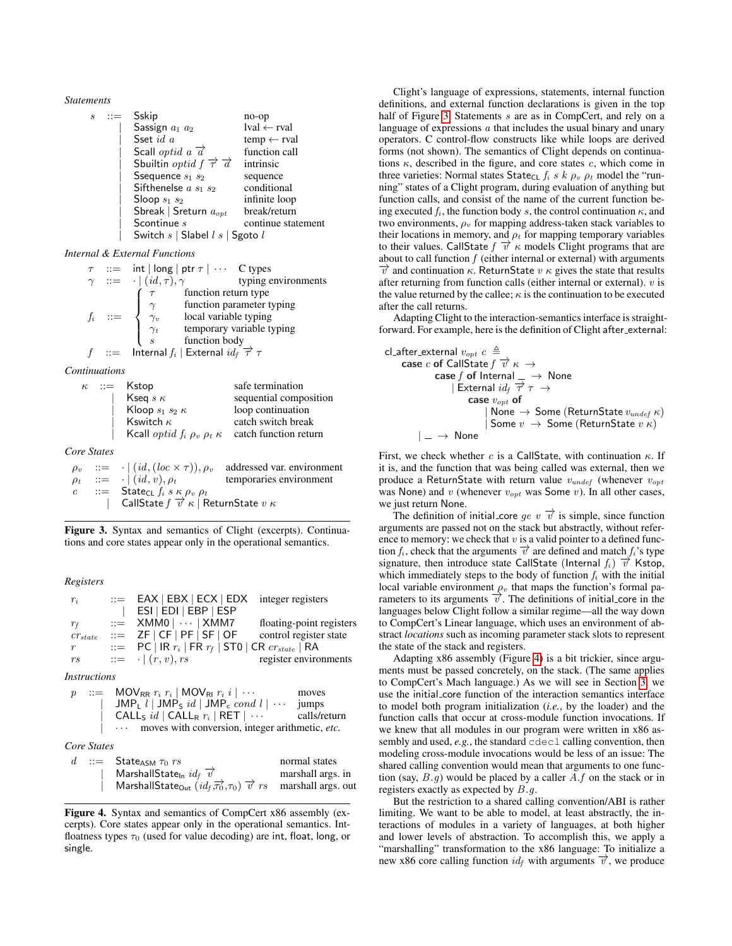*Statements*

| $\mathcal{S}$ | $\therefore =$ | Sskip                                                              | no-op                  |
|---------------|----------------|--------------------------------------------------------------------|------------------------|
|               |                | Sassign $a_1$ $a_2$                                                | $lval \leftarrow rval$ |
|               |                | Sset id a                                                          | $temp \leftarrow rval$ |
|               |                | Scall <i>optid</i> $a \overrightarrow{a}$                          | function call          |
|               |                | Sbuiltin <i>optid</i> $f \overrightarrow{\tau} \overrightarrow{a}$ | intrinsic              |
|               |                | Ssequence $s_1$ $s_2$                                              | sequence               |
|               |                | Sifthenelse $a s_1 s_2$                                            | conditional            |
|               |                | Sloop $s_1$ $s_2$                                                  | infinite loop          |
|               |                | Sbreak   Sreturn $a_{opt}$                                         | break/return           |
|               |                | Scontinue s                                                        | continue statement     |
|               |                | Switch $s$   Slabel $l s$   Sgoto $l$                              |                        |

#### *Internal & External Functions*

|           |                                           | $\tau$ ::= int   long   ptr $\tau$   $\cdots$ C types                    |
|-----------|-------------------------------------------|--------------------------------------------------------------------------|
|           | $\gamma$ ::= $\cdot   (id, \tau), \gamma$ | typing environments                                                      |
|           |                                           | function return type                                                     |
|           |                                           | function parameter typing                                                |
| $f_i$ ::= | $\gamma_{v}$                              | local variable typing                                                    |
|           | $\gamma_t$                                | temporary variable typing                                                |
|           | $\mathcal{S}_{\mathcal{S}}$               | function body                                                            |
|           |                                           | $\therefore$ Internal $f_i$   External $id_f \overrightarrow{\tau} \tau$ |

*Continuations*

|          | $\kappa$ ::= Kstop                            | safe termination       |
|----------|-----------------------------------------------|------------------------|
|          | Kseq $s \kappa$                               | sequential composition |
|          | Kloop $s_1$ $s_2$ $\kappa$                    | loop continuation      |
|          | Kswitch $\kappa$                              | catch switch break     |
|          | Kcall <i>optid</i> $f_i \rho_v \rho_t \kappa$ | catch function return  |
| e States |                                               |                        |

 $\rho_v$  ::=  $\cdot | (id, (loc \times \tau)), \rho_v$  addressed var. environment  $\rho_t$  ::=  $\cdot | (id, v), \rho_t$  temporaries environment c ::= State<sub>CL</sub>  $f_i$  s  $\kappa \rho_v \rho_t$  $\begin{array}{cc} \circ \text{trace}_{\mathsf{CE}} \mathcal{F}_{\mathcal{F}} \circ \mathcal{F}_{\mathcal{F}} \circ \mathcal{F}_{\mathcal{F}} \end{array}$  CallState  $f \, \overrightarrow{v} \, \kappa \mid \text{ReturnState } v \, \kappa$ 

<span id="page-3-0"></span>Figure 3. Syntax and semantics of Clight (excerpts). Continuations and core states appear only in the operational semantics.

*Registers*

 $Core$ 

| $r_i$         | $\equiv$ EAX   EBX   ECX   EDX integer registers               |                          |
|---------------|----------------------------------------------------------------|--------------------------|
|               | ESI   EDI   EBP   ESP                                          |                          |
| $r_f$         | $ ::=$ XMM0   $\cdots$   XMM7                                  | floating-point registers |
| $c r_{state}$ | $ ::= ZF   CF   PF   SF   OF$                                  | control register state   |
| $r_{-}$       | $\equiv$ PC   IR $r_i$   FR $r_f$   ST0   CR $cr_{state}$   RA |                          |
| $\sqrt{r}S$   | $ ::= \cdot   (r, v), rs$                                      | register environments    |

*Instructions*

| $\boldsymbol{p}$ | $\cdots$ MOV <sub>RR</sub> $r_i$ $r_i$   MOV <sub>RI</sub> $r_i$ $i$   $\cdots$ | moves        |
|------------------|---------------------------------------------------------------------------------|--------------|
|                  | $JMP_{L}$ $l$   $JMP_{S}$ $id$   $JMP_{C}$ $cond$ $l$   $\cdots$                | jumps        |
|                  | CALL <sub>S</sub> $id$   CALL <sub>R</sub> $r_i$   RET   $\cdots$               | calls/return |
|                  | moves with conversion, integer arithmetic, etc.                                 |              |

#### *Core States*

|  | $\ ::= \quad$ State <sub>ASM</sub> $\tau_0$ rs                                                                    | normal states     |
|--|-------------------------------------------------------------------------------------------------------------------|-------------------|
|  | Marshall ${\sf State_{In}}\ id_f\ \overrightarrow{v}$                                                             | marshall args. in |
|  | MarshallState <sub>Out</sub> $(id_f, \overrightarrow{\tau_0}, \tau_0)$ $\overrightarrow{v}$ rs marshall args. out |                   |

<span id="page-3-1"></span>Figure 4. Syntax and semantics of CompCert x86 assembly (excerpts). Core states appear only in the operational semantics. Intfloatness types  $\tau_0$  (used for value decoding) are int, float, long, or single.

Clight's language of expressions, statements, internal function definitions, and external function declarations is given in the top half of Figure [3.](#page-3-0) Statements s are as in CompCert, and rely on a language of expressions a that includes the usual binary and unary operators. C control-flow constructs like while loops are derived forms (not shown). The semantics of Clight depends on continuations  $\kappa$ , described in the figure, and core states c, which come in three varieties: Normal states State<sub>CL</sub>  $f_i$  s  $k \rho_v \rho_t$  model the "running" states of a Clight program, during evaluation of anything but function calls, and consist of the name of the current function being executed  $f_i$ , the function body s, the control continuation  $\kappa$ , and two environments,  $\rho_v$  for mapping address-taken stack variables to their locations in memory, and  $\rho_t$  for mapping temporary variables to their values. CallState  $f \, \overrightarrow{v} \, \kappa$  models Clight programs that are about to call function  $f$  (either internal or external) with arguments  $\overrightarrow{v}$  and continuation  $\kappa$ . ReturnState  $v \kappa$  gives the state that results after returning from function calls (either internal or external).  $v$  is the value returned by the callee;  $\kappa$  is the continuation to be executed after the call returns.

Adapting Clight to the interaction-semantics interface is straightforward. For example, here is the definition of Clight after external:

| cl_after_external $v_{opt}$ c                   | ≕ |
|-------------------------------------------------|---|
| case $c$ of CallState $f$ $\vec{v}$ $\kappa$ →  |   |
| case $f$ of Internal $\rightarrow$ None         |   |
| External $id_f$ $\vec{\tau}$ $\tau$ →           |   |
| case $v_{opt}$ of                               |   |
| None → Some (ReturnState $v_{undef}$ $\kappa$ ) |   |
| → None                                          |   |

First, we check whether c is a CallState, with continuation  $\kappa$ . If it is, and the function that was being called was external, then we produce a ReturnState with return value  $v_{undef}$  (whenever  $v_{opt}$ was None) and v (whenever  $v_{opt}$  was Some v). In all other cases, we just return None.

The definition of initial core ge v  $\vec{v}$  is simple, since function arguments are passed not on the stack but abstractly, without reference to memory: we check that  $v$  is a valid pointer to a defined function  $f_i$ , check that the arguments  $\vec{v}$  are defined and match  $f_i$ 's type signature, then introduce state CallState (Internal  $f_i$ )  $\vec{v}$  Kstop, which immediately steps to the body of function  $f_i$  with the initial local variable environment  $\rho_v$  that maps the function's formal pa-<br>rameters to its arguments  $\overrightarrow{v}$ . The definitions of initial core in the languages below Clight follow a similar regime—all the way down to CompCert's Linear language, which uses an environment of abstract *locations* such as incoming parameter stack slots to represent the state of the stack and registers.

Adapting x86 assembly (Figure [4\)](#page-3-1) is a bit trickier, since arguments must be passed concretely, on the stack. (The same applies to CompCert's Mach language.) As we will see in Section [3,](#page-4-0) we use the initial core function of the interaction semantics interface to model both program initialization (*i.e.*, by the loader) and the function calls that occur at cross-module function invocations. If we knew that all modules in our program were written in x86 assembly and used, *e.g.*, the standard cdecl calling convention, then modeling cross-module invocations would be less of an issue: The shared calling convention would mean that arguments to one function (say,  $B$ ,  $g$ ) would be placed by a caller  $A$ ,  $f$  on the stack or in registers exactly as expected by B.g.

But the restriction to a shared calling convention/ABI is rather limiting. We want to be able to model, at least abstractly, the interactions of modules in a variety of languages, at both higher and lower levels of abstraction. To accomplish this, we apply a "marshalling" transformation to the x86 language: To initialize a new x86 core calling function  $id_f$  with arguments  $\overrightarrow{v}$ , we produce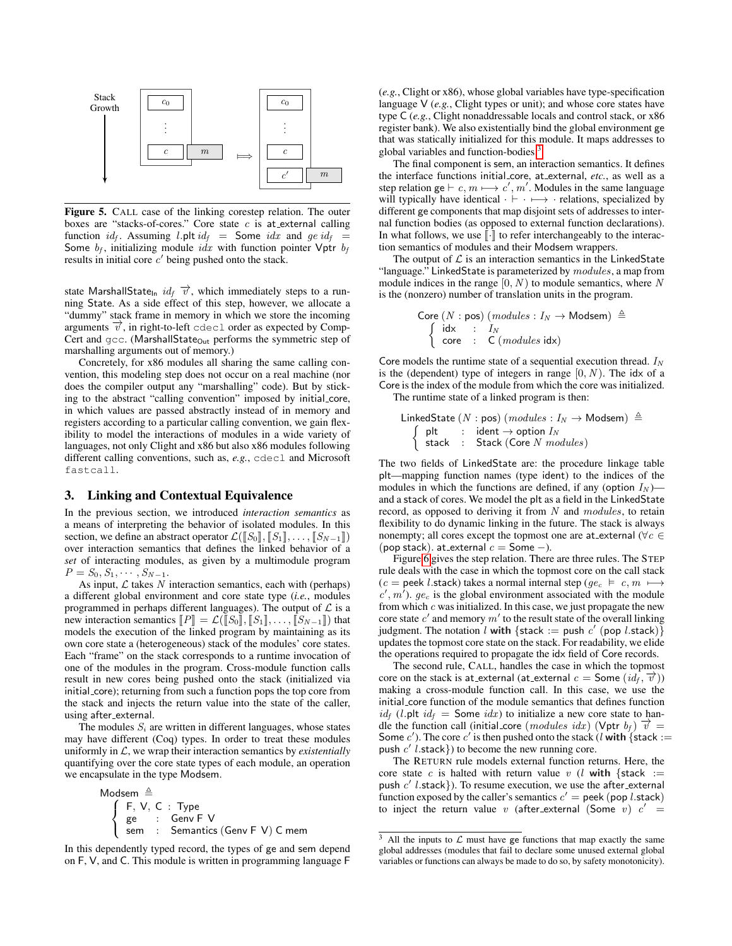

Figure 5. CALL case of the linking corestep relation. The outer boxes are "stacks-of-cores." Core state  $c$  is at external calling function  $id_f$ . Assuming *l*.plt  $id_f$  = Some  $idx$  and  $ge id_f$  = Some  $b_f$ , initializing module  $idx$  with function pointer Vptr  $b_f$ results in initial core  $c'$  being pushed onto the stack.

state MarshallState<sub>ln</sub>  $id_f \overrightarrow{v}$ , which immediately steps to a running State. As a side effect of this step, however, we allocate a "dummy" stack frame in memory in which we store the incoming arguments  $\vec{v}$ , in right-to-left cdecl order as expected by Comp-Cert and  $\text{gcc.}$  (MarshallState<sub>Out</sub> performs the symmetric step of marshalling arguments out of memory.)

Concretely, for x86 modules all sharing the same calling convention, this modeling step does not occur on a real machine (nor does the compiler output any "marshalling" code). But by sticking to the abstract "calling convention" imposed by initial core, in which values are passed abstractly instead of in memory and registers according to a particular calling convention, we gain flexibility to model the interactions of modules in a wide variety of languages, not only Clight and x86 but also x86 modules following different calling conventions, such as, *e.g.*, cdecl and Microsoft fastcall.

#### <span id="page-4-0"></span>3. Linking and Contextual Equivalence

In the previous section, we introduced *interaction semantics* as a means of interpreting the behavior of isolated modules. In this section, we define an abstract operator  $\mathcal{L}(\llbracket S_0 \rrbracket, \llbracket S_1 \rrbracket, \ldots, \llbracket S_{N-1} \rrbracket)$ over interaction semantics that defines the linked behavior of a *set* of interacting modules, as given by a multimodule program  $P = S_0, S_1, \cdots, S_{N-1}.$ 

As input,  $\mathcal L$  takes  $N$  interaction semantics, each with (perhaps) a different global environment and core state type (*i.e.*, modules programmed in perhaps different languages). The output of  $\mathcal L$  is a new interaction semantics  $\llbracket P \rrbracket = \mathcal{L}(\llbracket S_0 \rrbracket, \llbracket S_1 \rrbracket, \ldots, \llbracket S_{N-1} \rrbracket)$  that models the execution of the linked program by maintaining as its own core state a (heterogeneous) stack of the modules' core states. Each "frame" on the stack corresponds to a runtime invocation of one of the modules in the program. Cross-module function calls result in new cores being pushed onto the stack (initialized via initial core); returning from such a function pops the top core from the stack and injects the return value into the state of the caller, using after external.

The modules  $S_i$  are written in different languages, whose states may have different (Coq) types. In order to treat these modules uniformly in L, we wrap their interaction semantics by *existentially* quantifying over the core state types of each module, an operation we encapsulate in the type Modsem.

| Modsem $\triangleq$                                                           |
|-------------------------------------------------------------------------------|
| $\begin{cases}\n F, V, C : Type \\  ge \\  sem \\  : & Semantics \end{cases}$ |
| $\begin{cases}\n F, V, C : Type \\ $                                          |

In this dependently typed record, the types of ge and sem depend on F, V, and C. This module is written in programming language F

(*e.g.*, Clight or x86), whose global variables have type-specification language V (*e.g.*, Clight types or unit); and whose core states have type C (*e.g.*, Clight nonaddressable locals and control stack, or x86 register bank). We also existentially bind the global environment ge that was statically initialized for this module. It maps addresses to global variables and function-bodies.<sup>[3](#page-4-1)</sup>

The final component is sem, an interaction semantics. It defines the interface functions initial core, at external, *etc.*, as well as a step relation ge  $\vdash c, m \longmapsto c', m'$ . Modules in the same language will typically have identical  $\cdot \vdash \cdot \longmapsto \cdot$  relations, specialized by different ge components that map disjoint sets of addresses to internal function bodies (as opposed to external function declarations). In what follows, we use  $\llbracket \cdot \rrbracket$  to refer interchangeably to the interaction semantics of modules and their Modsem wrappers.

The output of  $\mathcal L$  is an interaction semantics in the LinkedState "language." LinkedState is parameterized by  $modules$ , a map from module indices in the range  $[0, N)$  to module semantics, where N is the (nonzero) number of translation units in the program.

> Core  $(N : pos)$   $(modules : I_N \rightarrow Modsem) \triangleq$  $\int$  idx :  $I_N$  $\mathsf{core} \quad : \quad \mathsf{C} \; (modules \; \mathsf{idx})$

Core models the runtime state of a sequential execution thread.  $I_N$ is the (dependent) type of integers in range  $[0, N)$ . The idx of a Core is the index of the module from which the core was initialized. The runtime state of a linked program is then:

LinkedState  $(N : pos)$   $(modules : I_N \rightarrow Modsem) \triangleq$  $\sqrt{ }$ plt : ident  $\rightarrow$  option  $I_N$  $\left\{ \right.$  stack : Stack (Core N  $modules$ )

The two fields of LinkedState are: the procedure linkage table plt—mapping function names (type ident) to the indices of the modules in which the functions are defined, if any (option  $I_N$ ) and a stack of cores. We model the plt as a field in the LinkedState record, as opposed to deriving it from N and modules, to retain flexibility to do dynamic linking in the future. The stack is always nonempty; all cores except the topmost one are at\_external ( $\forall c \in$ (pop stack). at external  $c =$  Some  $-$ ).

Figure [6](#page-5-2) gives the step relation. There are three rules. The STEP rule deals with the case in which the topmost core on the call stack  $(c =$  peek *l*.stack) takes a normal internal step  $(ge_c \vDash c, m \mapsto$  $c', m'$ ).  $ge_c$  is the global environment associated with the module from which  $c$  was initialized. In this case, we just propagate the new core state  $c'$  and memory  $m'$  to the result state of the overall linking judgment. The notation  $l$  with  $\{$ stack : $=$  push  $c'$   $($ pop  $l$ .stack $)\bar{\}}$ updates the topmost core state on the stack. For readability, we elide the operations required to propagate the idx field of Core records.

The second rule, CALL, handles the case in which the topmost The second rate, CAEE, mandles are case in which are replaced<br>core on the stack is at external (at external  $c =$  Some  $(id_f, \vec{v})$ ) making a cross-module function call. In this case, we use the initial core function of the module semantics that defines function  $id_f$  (l.plt  $id_f$  = Some  $idx$ ) to initialize a new core state to handle the function call (initial core (modules idx) (Vptr  $b_f$ )  $\vec{v}$  = Some c'). The core c' is then pushed onto the stack (l with {stack := push  $c'$  l.stack}) to become the new running core.

The RETURN rule models external function returns. Here, the core state c is halted with return value v (l with {stack := push  $c'$  l.stack}). To resume execution, we use the after external function exposed by the caller's semantics  $c' =$  peek (pop *l*.stack) to inject the return value v (after external (Some v)  $c' =$ 

<span id="page-4-1"></span> $3$  All the inputs to  $\mathcal L$  must have ge functions that map exactly the same global addresses (modules that fail to declare some unused external global variables or functions can always be made to do so, by safety monotonicity).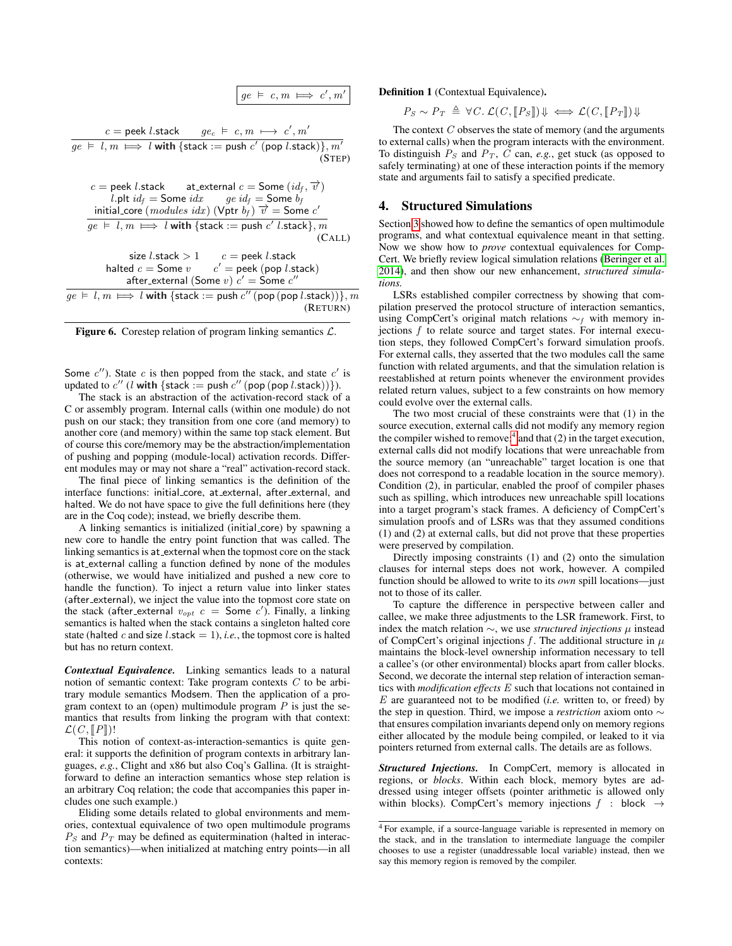$$
ge \vDash c, m \implies c', m'
$$
\n
$$
\overline{ge \vDash l, m \implies l \text{ with } \{\text{stack} := \text{push } c' \text{ (pop } l \text{.stack})\}, m' \text{ (STEP)}}
$$
\n
$$
c = \text{peak } l \text{.stack} \quad \text{at\_external } c = \text{Some } (id_f, \overrightarrow{v})
$$
\n
$$
l \text{.plt } id_f = \text{Some } idx \quad ge \ id_f = \text{Some } b_f
$$
\n
$$
\overline{\text{initial.core } (modules } idx) \text{ (Vptr } b_f) \ \overrightarrow{v} = \text{Some } c' \text{}
$$
\n
$$
\overline{ge \vDash l, m \implies l \text{ with } \{\text{stack} := \text{push } c' \text{.stack}\}, m \text{ (CALL)}
$$
\n
$$
\text{size } l \text{.stack} > 1 \quad c = \text{peak } l \text{.stack}
$$
\n
$$
\text{halted } c = \text{Some } v \quad c' = \text{peak } (p \text{op } l \text{.stack})
$$
\n
$$
\overline{ge \vDash l, m \implies l \text{ with } \{\text{stack} := \text{push } c'' \text{ (pop } l \text{.stack})\}, m \text{ (RELU)}
$$
\n
$$
\overline{ge \vDash l, m \implies l \text{ with } \{\text{stack} := \text{push } c'' \text{ (pop } l \text{.stack}))\}, m \text{ (RETURN)}
$$

<span id="page-5-2"></span>

Some  $c''$ ). State c is then popped from the stack, and state  $c'$  is updated to  $c''$  (l with {stack := push  $c''$  (pop (pop l.stack))}).

The stack is an abstraction of the activation-record stack of a C or assembly program. Internal calls (within one module) do not push on our stack; they transition from one core (and memory) to another core (and memory) within the same top stack element. But of course this core/memory may be the abstraction/implementation of pushing and popping (module-local) activation records. Different modules may or may not share a "real" activation-record stack.

The final piece of linking semantics is the definition of the interface functions: initial core, at external, after external, and halted. We do not have space to give the full definitions here (they are in the Coq code); instead, we briefly describe them.

A linking semantics is initialized (initial core) by spawning a new core to handle the entry point function that was called. The linking semantics is at external when the topmost core on the stack is at external calling a function defined by none of the modules (otherwise, we would have initialized and pushed a new core to handle the function). To inject a return value into linker states (after external), we inject the value into the topmost core state on the stack (after external  $v_{opt}$   $c =$  Some  $c'$ ). Finally, a linking semantics is halted when the stack contains a singleton halted core state (halted c and size  $l$ .stack = 1), *i.e.*, the topmost core is halted but has no return context.

<span id="page-5-0"></span>*Contextual Equivalence.* Linking semantics leads to a natural notion of semantic context: Take program contexts  $C$  to be arbitrary module semantics Modsem. Then the application of a program context to an (open) multimodule program  $P$  is just the semantics that results from linking the program with that context:  $\mathcal{L}(C, \llbracket P \rrbracket)!$ 

This notion of context-as-interaction-semantics is quite general: it supports the definition of program contexts in arbitrary languages, *e.g.*, Clight and x86 but also Coq's Gallina. (It is straightforward to define an interaction semantics whose step relation is an arbitrary Coq relation; the code that accompanies this paper includes one such example.)

<span id="page-5-4"></span>Eliding some details related to global environments and memories, contextual equivalence of two open multimodule programs  $P<sub>S</sub>$  and  $P<sub>T</sub>$  may be defined as equitermination (halted in interaction semantics)—when initialized at matching entry points—in all contexts:

Definition 1 (Contextual Equivalence).

$$
P_S \sim P_T \triangleq \forall C. \mathcal{L}(C, \llbracket P_S \rrbracket) \Downarrow \iff \mathcal{L}(C, \llbracket P_T \rrbracket) \Downarrow
$$

The context  $C$  observes the state of memory (and the arguments to external calls) when the program interacts with the environment. To distinguish  $P_S$  and  $P_T$ , C can, *e.g.*, get stuck (as opposed to safely terminating) at one of these interaction points if the memory state and arguments fail to satisfy a specified predicate.

#### <span id="page-5-1"></span>4. Structured Simulations

Section [3](#page-4-0) showed how to define the semantics of open multimodule programs, and what contextual equivalence meant in that setting. Now we show how to *prove* contextual equivalences for Comp-Cert. We briefly review logical simulation relations [\(Beringer et al.](#page-12-1) [2014\)](#page-12-1), and then show our new enhancement, *structured simulations.*

LSRs established compiler correctness by showing that compilation preserved the protocol structure of interaction semantics, using CompCert's original match relations  $\sim_f$  with memory injections  $f$  to relate source and target states. For internal execution steps, they followed CompCert's forward simulation proofs. For external calls, they asserted that the two modules call the same function with related arguments, and that the simulation relation is reestablished at return points whenever the environment provides related return values, subject to a few constraints on how memory could evolve over the external calls.

The two most crucial of these constraints were that (1) in the source execution, external calls did not modify any memory region the compiler wished to remove; $4$  and that (2) in the target execution, external calls did not modify locations that were unreachable from the source memory (an "unreachable" target location is one that does not correspond to a readable location in the source memory). Condition (2), in particular, enabled the proof of compiler phases such as spilling, which introduces new unreachable spill locations into a target program's stack frames. A deficiency of CompCert's simulation proofs and of LSRs was that they assumed conditions (1) and (2) at external calls, but did not prove that these properties were preserved by compilation.

Directly imposing constraints (1) and (2) onto the simulation clauses for internal steps does not work, however. A compiled function should be allowed to write to its *own* spill locations—just not to those of its caller.

To capture the difference in perspective between caller and callee, we make three adjustments to the LSR framework. First, to index the match relation ∼, we use *structured injections* µ instead of CompCert's original injections f. The additional structure in  $\mu$ maintains the block-level ownership information necessary to tell a callee's (or other environmental) blocks apart from caller blocks. Second, we decorate the internal step relation of interaction semantics with *modification effects* E such that locations not contained in E are guaranteed not to be modified (*i.e.* written to, or freed) by the step in question. Third, we impose a *restriction* axiom onto ∼ that ensures compilation invariants depend only on memory regions either allocated by the module being compiled, or leaked to it via pointers returned from external calls. The details are as follows.

*Structured Injections.* In CompCert, memory is allocated in regions, or *blocks*. Within each block, memory bytes are addressed using integer offsets (pointer arithmetic is allowed only within blocks). CompCert's memory injections  $f :$  block  $\rightarrow$ 

<span id="page-5-3"></span><sup>4</sup> For example, if a source-language variable is represented in memory on the stack, and in the translation to intermediate language the compiler chooses to use a register (unaddressable local variable) instead, then we say this memory region is removed by the compiler.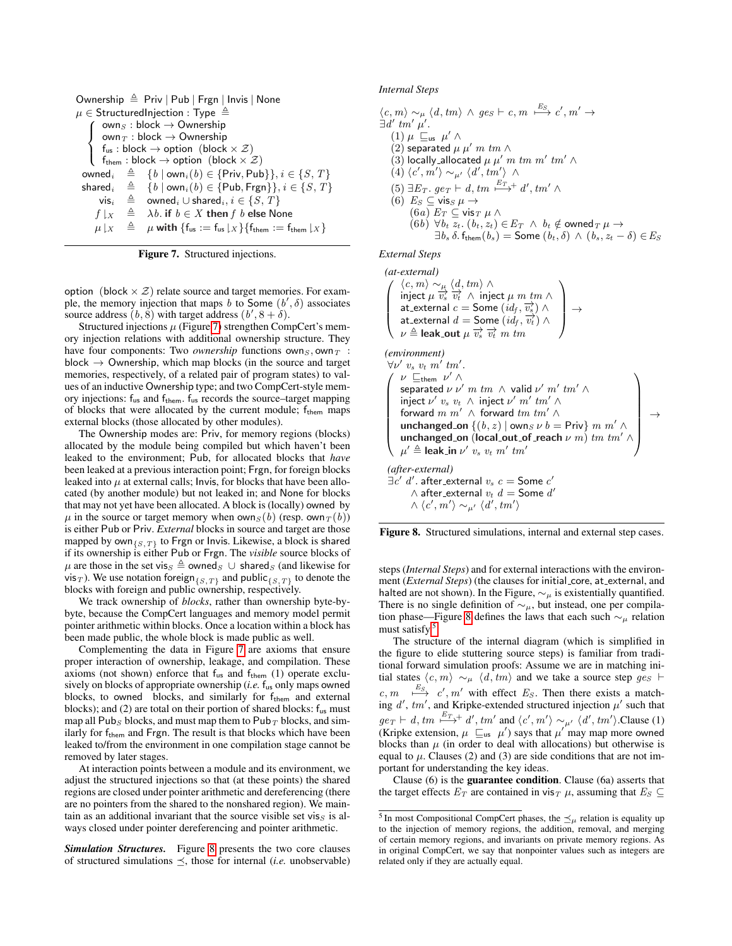```
Ownership \triangleq Priv | Pub | Frgn | Invis | None
\mu \in \mathsf{StructuredInjection} : \mathsf{Type} \, \triangleq\sqrt{ }\int\mathcal{L}own_S : block \rightarrow Ownership
         own T : \text{block} \rightarrow \text{Ownership}f_{us}:block \rightarrow option (block \times \mathcal{Z})f_{them} : block \rightarrow option \text{ (block } \times \mathcal{Z} \text{)}owned_i \triangleq \{b \mid \textsf{own}_i(b) \in \{\textsf{Priv}, \textsf{Pub}\}\}, i \in \{S, T\}sharedi \in \{b \mid \textsf{own}_i(b) \in \{\textsf{Pub}, \textsf{Frgn}\}\}, i \in \{S, T\}vis<sub>i</sub> \triangleq owned<sub>i</sub> ∪ shared<sub>i</sub>, i \in \{S, T\}f\downharpoonright_{X} \triangleq \lambda b. if b \in X then f b else None
      \mu |_{X} \triangleq \mu with \{f_{us} := f_{us} |_{X}\}\{f_{them} := f_{them} |_{X}\}
```
<span id="page-6-0"></span>Figure 7. Structured injections.

option (block  $\times$  Z) relate source and target memories. For example, the memory injection that maps b to Some  $(b', \delta)$  associates source address  $(b, 8)$  with target address  $(b', 8 + \delta)$ .

Structured injections  $\mu$  (Figure [7\)](#page-6-0) strengthen CompCert's memory injection relations with additional ownership structure. They have four components: Two *ownership* functions  $own_S$ , own  $T$ : block  $\rightarrow$  Ownership, which map blocks (in the source and target memories, respectively, of a related pair of program states) to values of an inductive Ownership type; and two CompCert-style memory injections:  $f_{us}$  and  $f_{them}$ .  $f_{us}$  records the source–target mapping of blocks that were allocated by the current module; fthem maps external blocks (those allocated by other modules).

The Ownership modes are: Priv, for memory regions (blocks) allocated by the module being compiled but which haven't been leaked to the environment; Pub, for allocated blocks that *have* been leaked at a previous interaction point; Frgn, for foreign blocks leaked into  $\mu$  at external calls; Invis, for blocks that have been allocated (by another module) but not leaked in; and None for blocks that may not yet have been allocated. A block is (locally) owned by  $\mu$  in the source or target memory when own $s(b)$  (resp. own $T(b)$ ) is either Pub or Priv. *External* blocks in source and target are those mapped by own ${S,T}$  to Frgn or Invis. Likewise, a block is shared if its ownership is either Pub or Frgn. The *visible* source blocks of  $\mu$  are those in the set vis<sub>S</sub>  $\triangleq$  owned<sub>S</sub> ∪ shared<sub>S</sub> (and likewise for vis  $_T$ ). We use notation foreign  $\{S, T\}$  and public  $\{S, T\}$  to denote the blocks with foreign and public ownership, respectively.

We track ownership of *blocks*, rather than ownership byte-bybyte, because the CompCert languages and memory model permit pointer arithmetic within blocks. Once a location within a block has been made public, the whole block is made public as well.

Complementing the data in Figure [7](#page-6-0) are axioms that ensure proper interaction of ownership, leakage, and compilation. These axioms (not shown) enforce that  $f_{us}$  and  $f_{them}$  (1) operate exclusively on blocks of appropriate ownership (*i.e.* f<sub>us</sub> only maps owned blocks, to owned blocks, and similarly for fthem and external blocks); and (2) are total on their portion of shared blocks: fus must map all Pub<sub>S</sub> blocks, and must map them to Pub<sub>T</sub> blocks, and similarly for f<sub>them</sub> and Frgn. The result is that blocks which have been leaked to/from the environment in one compilation stage cannot be removed by later stages.

At interaction points between a module and its environment, we adjust the structured injections so that (at these points) the shared regions are closed under pointer arithmetic and dereferencing (there are no pointers from the shared to the nonshared region). We maintain as an additional invariant that the source visible set vis $<sub>S</sub>$  is al-</sub> ways closed under pointer dereferencing and pointer arithmetic.

*Simulation Structures.* Figure [8](#page-6-1) presents the two core clauses of structured simulations  $\preceq$ , those for internal *(i.e.* unobservable)

#### *Internal Steps*

 $\langle c, m \rangle \sim_\mu \langle d, tm \rangle \wedge ges \vdash c, m \stackrel{E_S}{\longrightarrow} c', m' \rightarrow$  $\exists d'$  tm'  $\mu'$ .  $(1)$   $\mu$   $\sqsubseteq$ us  $\mu'$   $\wedge$ (2) separated  $\mu \mu'$  m tm  $\wedge$  $(3)$  locally allocated  $\mu$   $\mu'$  m tm m' tm'  $\wedge$  $(4) \langle c', m' \rangle \sim_{\mu'} \langle d',tm' \rangle \wedge$  $(5) \exists E_T.$   $ge_T \vdash d, tm \xrightarrow{E_T+} d', tm' \wedge$ (6)  $E_S \subseteq \mathsf{vis}_S \mu \to$ (6*a*)  $E_T \subseteq \mathsf{vis}_T \mu \wedge$  $(6b) \ \forall b_t \ z_t. \ (b_t, z_t) \in E_T \ \land \ b_t \notin \text{owned}_T \mu \rightarrow$  $\exists b_s \delta$ . f<sub>them</sub> $(b_s)$  = Some  $(b_t, \delta) \wedge (b_s, z_t - \delta) \in E_S$ 

# *External Steps*

*(at-external)*  $\sqrt{ }$  $\overline{\phantom{a}}$  $\langle c, m \rangle \sim_\mu \langle d, tm \rangle \wedge$ inject  $\mu \overrightarrow{v_s} \overrightarrow{v_t} \wedge \text{inject } \mu \ m \ t m \wedge$ at external  $c =$  Some  $(id_f, \overrightarrow{v_s}) \wedge$ at external  $d =$  Some  $(id_f, \overrightarrow{v_t}) \wedge$  $\nu \triangleq$  leak\_out  $\mu \overrightarrow{v_s} \overrightarrow{v_t} m \overrightarrow{t m}$  $\setminus$  $\Bigg\}$  $\rightarrow$ *(environment)*  $\forall \nu' \; v_s \; v_t \; m' \; t m'.$  $\sqrt{ }$  $\overline{\phantom{a}}$  $\nu \sqsubseteq_{\mathsf{them}} \nu' \wedge$ separated  $\nu \nu'$  m  $tm$   $\wedge$  valid  $\nu'$   $m'$   $tm'$   $\wedge$ inject  $\nu'$   $v_s$   $v_t$   $\wedge$  inject  $\nu'$   $m'$   $tm'$   $\wedge$ forward  $m$   $m'$  ∧ forward  $tm$   $tm'$  ∧ unchanged\_on  $\{(b, z) \mid \text{own}_S \nu b = \text{Priv}\}\ m m' \wedge$ unchanged on (local out of reach  $\nu$  m)  $tm$   $tm'$   $\wedge$  $\mu' \triangleq$  leak\_in  $\nu' \, \, v_s \, \, v_t \, \, m' \, \, t m'$  $\setminus$  $\overline{\phantom{a}}$ 

 $\rightarrow$ 

*(after-external)*  $\exists c' \; d'.$  after\_external  $v_s \; c =$  Some  $c'$  $\wedge$  after\_external  $v_t$   $d =$  Some  $d'$  $\wedge \langle c', m' \rangle \sim_{\mu'} \langle d', tm' \rangle$ 

<span id="page-6-1"></span>

steps (*Internal Steps*) and for external interactions with the environment (*External Steps*) (the clauses for initial core, at external, and halted are not shown). In the Figure,  $\sim_\mu$  is existentially quantified. There is no single definition of  $\sim_\mu$ , but instead, one per compila-tion phase—Figure [8](#page-6-1) defines the laws that each such  $\sim_\mu$  relation must satisfy.[5](#page-6-2)

The structure of the internal diagram (which is simplified in the figure to elide stuttering source steps) is familiar from traditional forward simulation proofs: Assume we are in matching initial states  $\langle c, m \rangle$  ∼<sub>µ</sub>  $\langle d, tm \rangle$  and we take a source step  $g_{\mathcal{C}}$  ⊢  $c, m \xrightarrow{E_S} c', m'$  with effect  $E_S$ . Then there exists a matching  $d'$ ,  $tm'$ , and Kripke-extended structured injection  $\mu'$  such that  $ge_T \vdash d, tm \xrightarrow{E_T} d', tm'$  and  $\langle c', m' \rangle \sim_{\mu'} \langle d', tm' \rangle$ .Clause (1) (Kripke extension,  $\mu \sqsubseteq_{\text{us}} \mu'$ ) says that  $\mu'$  may map more owned blocks than  $\mu$  (in order to deal with allocations) but otherwise is equal to  $\mu$ . Clauses (2) and (3) are side conditions that are not important for understanding the key ideas.

Clause (6) is the guarantee condition. Clause (6a) asserts that the target effects  $E_T$  are contained in vis $_T$   $\mu$ , assuming that  $E_S \subseteq$ 

<span id="page-6-2"></span><sup>&</sup>lt;sup>5</sup> In most Compositional CompCert phases, the  $\preceq_{\mu}$  relation is equality up to the injection of memory regions, the addition, removal, and merging of certain memory regions, and invariants on private memory regions. As in original CompCert, we say that nonpointer values such as integers are related only if they are actually equal.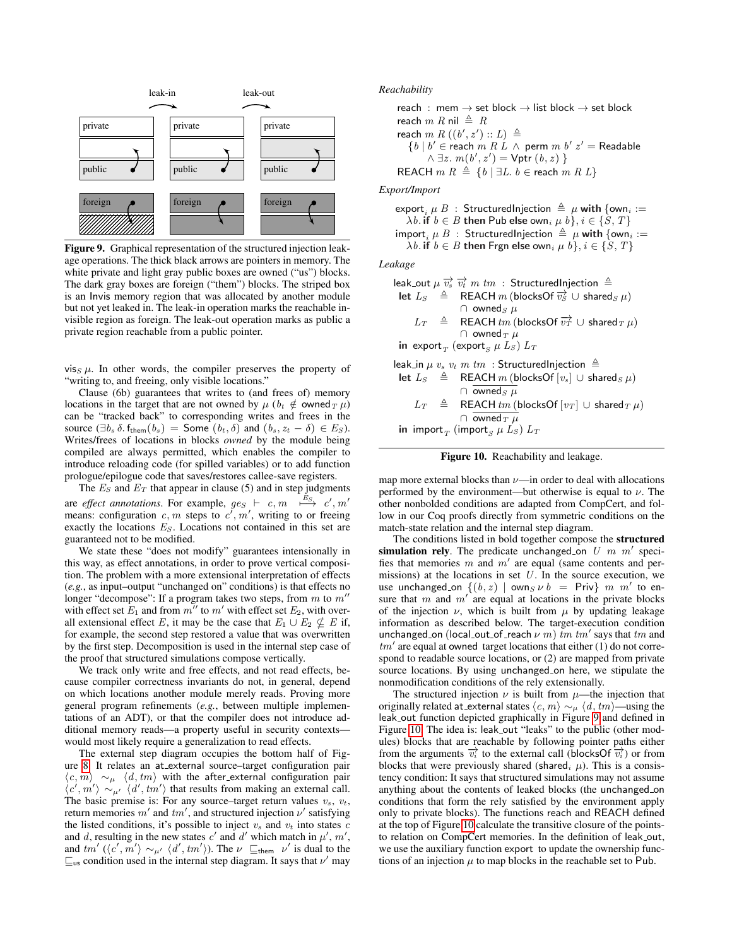

<span id="page-7-0"></span>Figure 9. Graphical representation of the structured injection leakage operations. The thick black arrows are pointers in memory. The white private and light gray public boxes are owned ("us") blocks. The dark gray boxes are foreign ("them") blocks. The striped box is an Invis memory region that was allocated by another module but not yet leaked in. The leak-in operation marks the reachable invisible region as foreign. The leak-out operation marks as public a private region reachable from a public pointer.

 $\mathsf{vis}_{S}\mu$ . In other words, the compiler preserves the property of "writing to, and freeing, only visible locations."

Clause (6b) guarantees that writes to (and frees of) memory locations in the target that are not owned by  $\mu$  ( $b_t \notin \text{owned}_T \mu$ ) can be "tracked back" to corresponding writes and frees in the source  $(\exists b_s \delta. f_{\text{them}}(b_s) = \text{Some } (b_t, \delta)$  and  $(b_s, z_t - \delta) \in E_S$ ). Writes/frees of locations in blocks *owned* by the module being compiled are always permitted, which enables the compiler to introduce reloading code (for spilled variables) or to add function prologue/epilogue code that saves/restores callee-save registers.

The  $E<sub>S</sub>$  and  $E<sub>T</sub>$  that appear in clause (5) and in step judgments are *effect annotations*. For example,  $ge_S$   $\vdash$   $c, m$   $\stackrel{E_S}{\longmapsto}$   $c', m'$ means: configuration c, m steps to  $c', m'$ , writing to or freeing exactly the locations  $E<sub>S</sub>$ . Locations not contained in this set are guaranteed not to be modified.

We state these "does not modify" guarantees intensionally in this way, as effect annotations, in order to prove vertical composition. The problem with a more extensional interpretation of effects (*e.g.*, as input–output "unchanged on" conditions) is that effects no longer "decompose": If a program takes two steps, from  $m$  to  $m''$ with effect set  $E_1$  and from  $m''$  to  $m'$  with effect set  $E_2$ , with overall extensional effect E, it may be the case that  $E_1 \cup E_2 \nsubseteq E$  if, for example, the second step restored a value that was overwritten by the first step. Decomposition is used in the internal step case of the proof that structured simulations compose vertically.

We track only write and free effects, and not read effects, because compiler correctness invariants do not, in general, depend on which locations another module merely reads. Proving more general program refinements (*e.g.*, between multiple implementations of an ADT), or that the compiler does not introduce additional memory reads—a property useful in security contexts would most likely require a generalization to read effects.

The external step diagram occupies the bottom half of Figure [8.](#page-6-1) It relates an at external source–target configuration pair  $\langle c, m \rangle \sim_\mu \langle d, tm \rangle$  with the after external configuration pair  $\langle c', m' \rangle \sim_{\mu'} \langle d', t m' \rangle$  that results from making an external call. The basic premise is: For any source–target return values  $v_s$ ,  $v_t$ , return memories  $m'$  and  $tm'$ , and structured injection  $\nu'$  satisfying the listed conditions, it's possible to inject  $v_s$  and  $v_t$  into states  $c$ and d, resulting in the new states c' and d' which match in  $\mu'$ , m', and  $tm'(\langle c', m' \rangle \sim_{\mu'} \langle d', tm' \rangle)$ . The  $\nu \sqsubseteq_{\text{them}} \nu'$  is dual to the  $\sqsubseteq$ <sub>us</sub> condition used in the internal step diagram. It says that  $\nu'$  may

*Reachability*

reach : mem  $\rightarrow$  set block  $\rightarrow$  list block  $\rightarrow$  set block reach  $m R$  nil  $\triangleq R$ reach  $m R ((b', z') :: L) \triangleq$  $\{b \mid b' \in \mathsf{reach}\; m\; R\; L \;\wedge\; \mathsf{perm}\; m\; b'\; z' = \mathsf{Readable}$  $\wedge \exists z \ldotp m(b',z') = \mathsf{Vptr}\,(b,z)$ REACH  $m R \triangleq \{b \mid \exists L. b \in$  reach  $m R L\}$ 

*Export/Import*

$$
\begin{array}{ll}\text{export}_{i} \ \mu \ B \ : \ \text{StructuredInjection} \ \triangleq \ \mu \ \text{with} \ \{\text{own}_i := \\ \lambda \ b \ \text{.if} \ \ b \in B \ \text{then} \ \text{Pub} \ \text{else} \ \text{own}_i \ \mu \ b \}, i \in \{S, T\} \\ \text{import}_{i} \ \mu \ B \ : \ \text{StructuredInjection} \ \triangleq \ \mu \ \text{with} \ \{\text{own}_i := \\ \lambda \ b \ \text{.if} \ \ b \in B \ \text{then } \ \text{Frgn} \ \text{else } \text{own}_i \ \mu \ b \}, i \in \{S, T\} \end{array}
$$

*Leakage*

$$
\begin{array}{rcl} \mathsf{leak\_out} \ \mu \ \overrightarrow{v_s} \ \overrightarrow{v_t} \ m \ \mathit{tm}: \ \ \mathsf{StructuredInjection} \ \triangleq \\ \mathsf{let} \ L_S \ & \triangleq & \ \ \mathsf{REACH} \ m \ (\mathsf{blocksOf} \ \overrightarrow{v_s} \ \cup \ \mathsf{shared}_S \ \mu) \\ & \cap \ \mathsf{owned}_S \ \mu \\ & \cap \ \mathsf{comed}_T \ \mu \\ & \cap \ \mathsf{owned}_T \ \mu \\ \mathsf{in} \ \ \mathsf{export}_T \ (\mathsf{export}_S \ \mu \ L_S) \ L_T \\ \mathsf{leak\_in} \ \mu \ v_s \ v_t \ m \ \mathit{tm}: \ \ \mathsf{StructuredInjection} \ \triangleq \\ \mathsf{let} \ L_S \ & \triangleq & \ \ \mathsf{REACH} \ m \ (\mathsf{blocksOf} \ [v_s] \ \cup \ \mathsf{shared}_S \ \mu) \\ & \cap \ \mathsf{owned}_S \ \mu \end{array}
$$

$$
L_T \triangleq \text{REACH } \frac{\text{ERACH } \text{tm} \left( \text{blocksOf } [v_T] \cup \text{shared }_T \mu \right)}{\cap \text{ owned }_T \mu}
$$
\nin import

\n
$$
L_T \left( \text{import }_S \mu L_S \right) L_T
$$

#### <span id="page-7-1"></span>Figure 10. Reachability and leakage.

map more external blocks than  $\nu$ —in order to deal with allocations performed by the environment—but otherwise is equal to  $\nu$ . The other nonbolded conditions are adapted from CompCert, and follow in our Coq proofs directly from symmetric conditions on the match-state relation and the internal step diagram.

The conditions listed in bold together compose the structured simulation rely. The predicate unchanged on U  $m$   $m'$  specifies that memories  $m$  and  $m'$  are equal (same contents and permissions) at the locations in set  $U$ . In the source execution, we use unchanged on  $\{(b, z) \mid \text{own}_S \nu b = \text{Priv}\}\ m m'$  to ensure that  $m$  and  $m'$  are equal at locations in the private blocks of the injection  $\nu$ , which is built from  $\mu$  by updating leakage information as described below. The target-execution condition unchanged\_on (local\_out\_of\_reach  $\nu$   $m)$   $\overline{t}m$   $tm'$  says that  $tm$  and  $tm'$  are equal at owned target locations that either (1) do not correspond to readable source locations, or (2) are mapped from private source locations. By using unchanged on here, we stipulate the nonmodification conditions of the rely extensionally.

The structured injection  $\nu$  is built from  $\mu$ —the injection that originally related at external states  $\langle c, m \rangle \sim_\mu \langle d, tm \rangle$ —using the leak out function depicted graphically in Figure [9](#page-7-0) and defined in Figure [10.](#page-7-1) The idea is: leak\_out "leaks" to the public (other modules) blocks that are reachable by following pointer paths either from the arguments  $\overrightarrow{v_i}$  to the external call (blocksOf  $\overrightarrow{v_i}$ ) or from blocks that were previously shared (shared<sub>i</sub>  $\mu$ ). This is a consistency condition: It says that structured simulations may not assume anything about the contents of leaked blocks (the unchanged on conditions that form the rely satisfied by the environment apply only to private blocks). The functions reach and REACH defined at the top of Figure [10](#page-7-1) calculate the transitive closure of the pointsto relation on CompCert memories. In the definition of leak\_out, we use the auxiliary function export to update the ownership functions of an injection  $\mu$  to map blocks in the reachable set to Pub.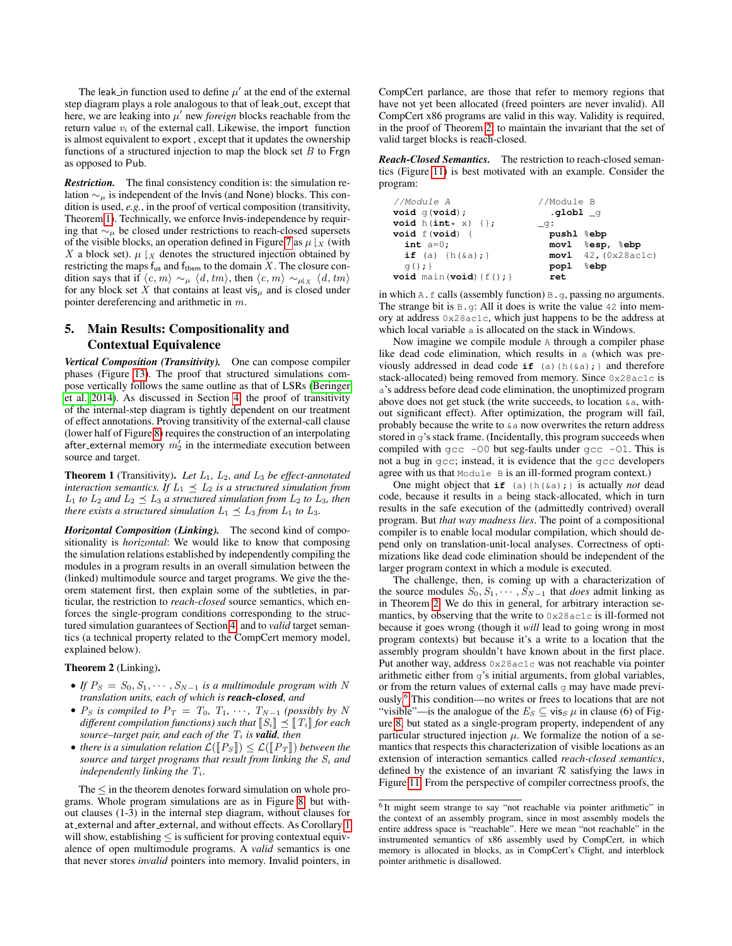The leak in function used to define  $\mu'$  at the end of the external step diagram plays a role analogous to that of leak out, except that here, we are leaking into  $\mu'$  new *foreign* blocks reachable from the return value  $v_i$  of the external call. Likewise, the import function is almost equivalent to export , except that it updates the ownership functions of a structured injection to map the block set  $B$  to Frgn as opposed to Pub.

*Restriction.* The final consistency condition is: the simulation relation  $∼<sub>μ</sub>$  is independent of the Invis (and None) blocks. This condition is used, *e.g.*, in the proof of vertical composition (transitivity, Theorem [1\)](#page-8-1). Technically, we enforce Invis-independence by requiring that  $\sim_\mu$  be closed under restrictions to reach-closed supersets of the visible blocks, an operation defined in Figure [7](#page-6-0) as  $\mu \mid_X$  (with X a block set).  $\mu \mid x$  denotes the structured injection obtained by restricting the maps  $f_{us}$  and  $f_{them}$  to the domain  $\overline{X}$ . The closure condition says that if  $\langle c, m \rangle \sim_\mu \langle d, tm \rangle$ , then  $\langle c, m \rangle \sim_{\mu_X} \langle d, tm \rangle$ for any block set X that contains at least vis<sub> $\mu$ </sub> and is closed under pointer dereferencing and arithmetic in m.

# <span id="page-8-0"></span>5. Main Results: Compositionality and Contextual Equivalence

*Vertical Composition (Transitivity).* One can compose compiler phases (Figure [13\)](#page-11-0). The proof that structured simulations compose vertically follows the same outline as that of LSRs [\(Beringer](#page-12-1) [et al. 2014\)](#page-12-1). As discussed in Section [4,](#page-5-1) the proof of transitivity of the internal-step diagram is tightly dependent on our treatment of effect annotations. Proving transitivity of the external-call clause (lower half of Figure [8\)](#page-6-1) requires the construction of an interpolating after external memory  $m'_2$  in the intermediate execution between source and target.

<span id="page-8-1"></span>Theorem 1 (Transitivity). *Let* L1*,* L2*, and* L<sup>3</sup> *be effect-annotated interaction semantics. If*  $L_1 \preceq L_2$  *is a structured simulation from*  $L_1$  *to*  $L_2$  *and*  $L_2 \preceq L_3$  *a* structured simulation from  $L_2$  to  $L_3$ , then *there exists a structured simulation*  $L_1 \preceq L_3$  *from*  $L_1$  *to*  $L_3$ *.* 

*Horizontal Composition (Linking).* The second kind of compositionality is *horizontal*: We would like to know that composing the simulation relations established by independently compiling the modules in a program results in an overall simulation between the (linked) multimodule source and target programs. We give the theorem statement first, then explain some of the subtleties, in particular, the restriction to *reach-closed* source semantics, which enforces the single-program conditions corresponding to the structured simulation guarantees of Section [4,](#page-5-1) and to *valid* target semantics (a technical property related to the CompCert memory model, explained below).

## <span id="page-8-2"></span>Theorem 2 (Linking).

- *If*  $P_S = S_0, S_1, \cdots, S_{N-1}$  *is a multimodule program with* N *translation units, each of which is reach-closed, and*
- $P_S$  *is compiled to*  $P_T = T_0, T_1, \cdots, T_{N-1}$  *(possibly by* N *different compilation functions) such that*  $\llbracket S_i \rrbracket \preceq \llbracket T_i \rrbracket$  for each *source–target pair, and each of the*  $T_i$  *is valid, then*
- *there is a simulation relation*  $\mathcal{L}(\llbracket P_S \rrbracket) \leq \mathcal{L}(\llbracket P_T \rrbracket)$  *between the source and target programs that result from linking the*  $S_i$  *and independently linking the*  $T_i$ .

The ≤ in the theorem denotes forward simulation on whole programs. Whole program simulations are as in Figure [8,](#page-6-1) but without clauses (1-3) in the internal step diagram, without clauses for at external and after external, and without effects. As Corollary [1](#page-9-0) will show, establishing  $\leq$  is sufficient for proving contextual equivalence of open multimodule programs. A *valid* semantics is one that never stores *invalid* pointers into memory. Invalid pointers, in CompCert parlance, are those that refer to memory regions that have not yet been allocated (freed pointers are never invalid). All CompCert x86 programs are valid in this way. Validity is required, in the proof of Theorem [2,](#page-8-2) to maintain the invariant that the set of valid target blocks is reach-closed.

*Reach-Closed Semantics.* The restriction to reach-closed semantics (Figure [11\)](#page-9-1) is best motivated with an example. Consider the program:

| //Module A                          | //Module B              |
|-------------------------------------|-------------------------|
| void q(void);                       | . <b>qlobl</b> _q       |
| void $h(int * x)$ {};               | $-q:$                   |
| void $f(void)$ {                    | pushl %ebp              |
| $int a=0;$                          | movl %esp, %ebp         |
| <b>if</b> (a) $\{h(\&a)\}$          | $mov1$ 42, $(0x28ac1c)$ |
| q();                                | popl %ebp               |
| <b>void</b> main (void) { $f()$ ; } | ret                     |

in which  $A.f$  calls (assembly function)  $B.g$ , passing no arguments. The strange bit is  $B, g$ : All it does is write the value 42 into memory at address 0x28ac1c, which just happens to be the address at which local variable a is allocated on the stack in Windows.

Now imagine we compile module A through a compiler phase like dead code elimination, which results in a (which was previously addressed in dead code **if** (a){h( $\&a$ );} and therefore stack-allocated) being removed from memory. Since 0x28ac1c is a's address before dead code elimination, the unoptimized program above does not get stuck (the write succeeds, to location &a, without significant effect). After optimization, the program will fail, probably because the write to &a now overwrites the return address stored in  $q$ 's stack frame. (Incidentally, this program succeeds when compiled with  $\csc$  -00 but seg-faults under  $\csc$  -01. This is not a bug in gcc; instead, it is evidence that the gcc developers agree with us that Module B is an ill-formed program context.)

One might object that **if** (a){h(&a);} is actually *not* dead code, because it results in a being stack-allocated, which in turn results in the safe execution of the (admittedly contrived) overall program. But *that way madness lies*. The point of a compositional compiler is to enable local modular compilation, which should depend only on translation-unit-local analyses. Correctness of optimizations like dead code elimination should be independent of the larger program context in which a module is executed.

The challenge, then, is coming up with a characterization of the source modules  $S_0, S_1, \cdots, S_{N-1}$  that *does* admit linking as in Theorem [2.](#page-8-2) We do this in general, for arbitrary interaction semantics, by observing that the write to 0x28ac1c is ill-formed not because it goes wrong (though it *will* lead to going wrong in most program contexts) but because it's a write to a location that the assembly program shouldn't have known about in the first place. Put another way, address 0x28ac1c was not reachable via pointer arithmetic either from g's initial arguments, from global variables, or from the return values of external calls  $q$  may have made previously.[6](#page-8-3) This condition—no writes or frees to locations that are not "visible"—is the analogue of the  $E_S \subseteq \text{vis}_S \mu$  in clause (6) of Figure [8,](#page-6-1) but stated as a single-program property, independent of any particular structured injection  $\mu$ . We formalize the notion of a semantics that respects this characterization of visible locations as an extension of interaction semantics called *reach-closed semantics*, defined by the existence of an invariant  $R$  satisfying the laws in Figure [11.](#page-9-1) From the perspective of compiler correctness proofs, the

<span id="page-8-3"></span><sup>&</sup>lt;sup>6</sup>It might seem strange to say "not reachable via pointer arithmetic" in the context of an assembly program, since in most assembly models the entire address space is "reachable". Here we mean "not reachable" in the instrumented semantics of x86 assembly used by CompCert, in which memory is allocated in blocks, as in CompCert's Clight, and interblock pointer arithmetic is disallowed.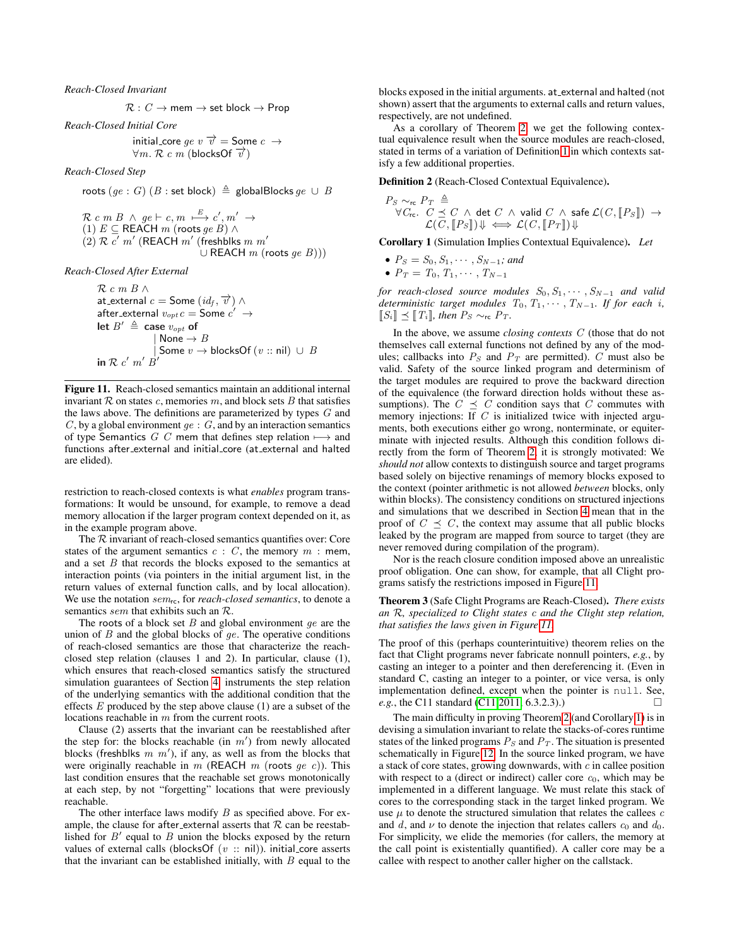*Reach-Closed Invariant*

 $\mathcal{R}: C \to \text{mem} \to \text{set block} \to \text{Prop}$ 

*Reach-Closed Initial Core*

initial core qe v  $\overrightarrow{v}$  = Some  $c \rightarrow$  $\forall m. \mathcal{R} \ c \ m$  (blocksOf  $\overrightarrow{v}$ )

*Reach-Closed Step*

roots  $(ge : G)$   $(B : set block) \triangleq globalBlocks ge \cup B$ 

 $\mathcal{R} \mathit{c} \mathit{m} \mathit{B} \wedge \mathit{ge} \vdash \mathit{c}, \mathit{m} \stackrel{E}{\longmapsto} \mathit{c}', \mathit{m}' \rightarrow$ (1)  $E$  ⊆ REACH m (roots ge B)  $\wedge$  $(2)$   $R$   $c'$   $m'$  (REACH  $m'$  (freshblks  $m$   $m'$ ∪ REACH  $m$  (roots  $ge B$ )))

*Reach-Closed After External*

 $\mathcal{R}$  c m B  $\wedge$ at\_external  $c =$  Some  $(id_f, \overrightarrow{v}) \wedge$ after\_external  $v_{opt} c =$  Some  $c' \rightarrow$ let  $B' \triangleq$  case  $v_{opt}$  of | None  $\rightarrow$   $B$ | Some  $v \rightarrow$  blocksOf  $(v::$  nil) ∪ B in  $\mathcal{R}$  c' m'  $\ddot{B}$  $\prime$ 

<span id="page-9-1"></span>Figure 11. Reach-closed semantics maintain an additional internal invariant  $R$  on states  $c$ , memories  $m$ , and block sets  $B$  that satisfies the laws above. The definitions are parameterized by types  $G$  and  $C$ , by a global environment  $ge: G$ , and by an interaction semantics of type Semantics G C mem that defines step relation  $\longmapsto$  and functions after external and initial core (at external and halted are elided).

restriction to reach-closed contexts is what *enables* program transformations: It would be unsound, for example, to remove a dead memory allocation if the larger program context depended on it, as in the example program above.

The  $R$  invariant of reach-closed semantics quantifies over: Core states of the argument semantics  $c : C$ , the memory  $m :$  mem, and a set  $B$  that records the blocks exposed to the semantics at interaction points (via pointers in the initial argument list, in the return values of external function calls, and by local allocation). We use the notation  $sem_{rc}$ , for *reach-closed semantics*, to denote a semantics sem that exhibits such an  $R$ .

The roots of a block set  $B$  and global environment  $ge$  are the union of  $B$  and the global blocks of  $ge$ . The operative conditions of reach-closed semantics are those that characterize the reachclosed step relation (clauses 1 and 2). In particular, clause (1), which ensures that reach-closed semantics satisfy the structured simulation guarantees of Section [4,](#page-5-1) instruments the step relation of the underlying semantics with the additional condition that the effects  $E$  produced by the step above clause (1) are a subset of the locations reachable in m from the current roots.

Clause (2) asserts that the invariant can be reestablished after the step for: the blocks reachable (in  $m'$ ) from newly allocated blocks (freshblks  $m$   $m'$ ), if any, as well as from the blocks that were originally reachable in m (REACH m (roots  $ge c$ )). This last condition ensures that the reachable set grows monotonically at each step, by not "forgetting" locations that were previously reachable.

The other interface laws modify  $B$  as specified above. For example, the clause for after external asserts that  $R$  can be reestablished for  $B'$  equal to  $B$  union the blocks exposed by the return values of external calls (blocksOf  $(v::$  nil)). initial\_core asserts that the invariant can be established initially, with  $B$  equal to the blocks exposed in the initial arguments. at\_external and halted (not shown) assert that the arguments to external calls and return values, respectively, are not undefined.

As a corollary of Theorem [2,](#page-8-2) we get the following contextual equivalence result when the source modules are reach-closed, stated in terms of a variation of Definition [1](#page-5-4) in which contexts satisfy a few additional properties.

Definition 2 (Reach-Closed Contextual Equivalence).

$$
\begin{array}{c}\nP_{S} \sim_{\text{rc}} P_{T} \triangleq \\
\forall C_{\text{rc}}.\ C \preceq C \ \wedge \ \text{det}\ C \ \wedge \ \text{valid}\ C \ \wedge \ \text{safe}\ \mathcal{L}(C,\llbracket P_{S} \rrbracket) \ \rightarrow \\
\mathcal{L}(C,\llbracket P_{S} \rrbracket)\Downarrow \iff \mathcal{L}(C,\llbracket P_{T} \rrbracket)\Downarrow \end{array}
$$

<span id="page-9-0"></span>Corollary 1 (Simulation Implies Contextual Equivalence). *Let*

• 
$$
P_S = S_0, S_1, \cdots, S_{N-1}
$$
; and

•  $P_T = T_0, T_1, \cdots, T_{N-1}$ 

*for reach-closed source modules*  $S_0, S_1, \cdots, S_{N-1}$  *and valid deterministic target modules*  $T_0, T_1, \cdots, T_{N-1}$ . If for each i,  $\llbracket S_i \rrbracket \preceq \llbracket T_i \rrbracket$ , then  $P_S \sim_{\text{rc}} P_T$ .

In the above, we assume *closing contexts* C (those that do not themselves call external functions not defined by any of the modules; callbacks into  $P_S$  and  $P_T$  are permitted).  $C$  must also be valid. Safety of the source linked program and determinism of the target modules are required to prove the backward direction of the equivalence (the forward direction holds without these assumptions). The  $C \preceq C$  condition says that C commutes with memory injections: If C is initialized twice with injected arguments, both executions either go wrong, nonterminate, or equiterminate with injected results. Although this condition follows directly from the form of Theorem [2,](#page-8-2) it is strongly motivated: We *should not* allow contexts to distinguish source and target programs based solely on bijective renamings of memory blocks exposed to the context (pointer arithmetic is not allowed *between* blocks, only within blocks). The consistency conditions on structured injections and simulations that we described in Section [4](#page-5-1) mean that in the proof of  $C \preceq C$ , the context may assume that all public blocks leaked by the program are mapped from source to target (they are never removed during compilation of the program).

Nor is the reach closure condition imposed above an unrealistic proof obligation. One can show, for example, that all Clight programs satisfy the restrictions imposed in Figure [11.](#page-9-1)

<span id="page-9-2"></span>Theorem 3 (Safe Clight Programs are Reach-Closed). *There exists an* R*, specialized to Clight states* c *and the Clight step relation, that satisfies the laws given in Figure [11.](#page-9-1)*

The proof of this (perhaps counterintuitive) theorem relies on the fact that Clight programs never fabricate nonnull pointers, *e.g.*, by casting an integer to a pointer and then dereferencing it. (Even in standard C, casting an integer to a pointer, or vice versa, is only implementation defined, except when the pointer is null. See, *e.g.*, the C11 standard [\(C11 2011,](#page-12-6) 6.3.2.3).) □

The main difficulty in proving Theorem [2](#page-8-2) (and Corollary [1\)](#page-9-0) is in devising a simulation invariant to relate the stacks-of-cores runtime states of the linked programs  $P_S$  and  $P_T$ . The situation is presented schematically in Figure [12.](#page-10-1) In the source linked program, we have a stack of core states, growing downwards, with  $c$  in callee position with respect to a (direct or indirect) caller core  $c_0$ , which may be implemented in a different language. We must relate this stack of cores to the corresponding stack in the target linked program. We use  $\mu$  to denote the structured simulation that relates the callees  $c$ and d, and  $\nu$  to denote the injection that relates callers  $c_0$  and  $d_0$ . For simplicity, we elide the memories (for callers, the memory at the call point is existentially quantified). A caller core may be a callee with respect to another caller higher on the callstack.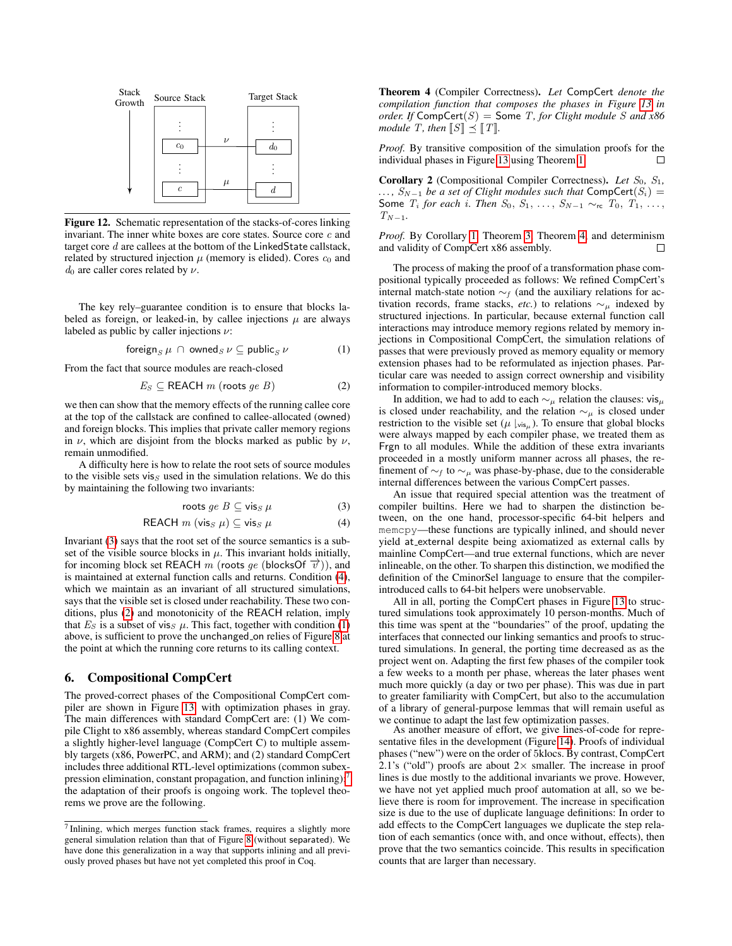

<span id="page-10-1"></span>Figure 12. Schematic representation of the stacks-of-cores linking invariant. The inner white boxes are core states. Source core c and target core d are callees at the bottom of the LinkedState callstack, related by structured injection  $\mu$  (memory is elided). Cores  $c_0$  and  $d_0$  are caller cores related by  $\nu$ .

The key rely–guarantee condition is to ensure that blocks labeled as foreign, or leaked-in, by callee injections  $\mu$  are always labeled as public by caller injections  $\nu$ :

$$
\text{foreign}_S \,\mu \,\cap \,\text{owned}_S \,\nu \subseteq \text{public}_S \,\nu \tag{1}
$$

From the fact that source modules are reach-closed

$$
E_S \subseteq \text{REACH } m \text{ (roots } ge \ B) \tag{2}
$$

we then can show that the memory effects of the running callee core at the top of the callstack are confined to callee-allocated (owned) and foreign blocks. This implies that private caller memory regions in  $\nu$ , which are disjoint from the blocks marked as public by  $\nu$ , remain unmodified.

A difficulty here is how to relate the root sets of source modules to the visible sets vis<sub>S</sub> used in the simulation relations. We do this by maintaining the following two invariants:

$$
\text{roots } ge \ B \subseteq \text{vis}_S \ \mu \tag{3}
$$

$$
\mathsf{REACH}\; m\;(\mathsf{vis}_S\;\mu) \subseteq \mathsf{vis}_S\;\mu \tag{4}
$$

Invariant [\(3\)](#page-10-2) says that the root set of the source semantics is a subset of the visible source blocks in  $\mu$ . This invariant holds initially, for incoming block set REACH m (roots ge (blocksOf  $\vec{v}$ )), and is maintained at external function calls and returns. Condition [\(4\)](#page-10-3), which we maintain as an invariant of all structured simulations, says that the visible set is closed under reachability. These two conditions, plus [\(2\)](#page-10-4) and monotonicity of the REACH relation, imply that  $E_S$  is a subset of vis<sub>S</sub>  $\mu$ . This fact, together with condition [\(1\)](#page-10-5) above, is sufficient to prove the unchanged on relies of Figure [8](#page-6-1) at the point at which the running core returns to its calling context.

#### <span id="page-10-0"></span>6. Compositional CompCert

The proved-correct phases of the Compositional CompCert compiler are shown in Figure [13,](#page-11-0) with optimization phases in gray. The main differences with standard CompCert are: (1) We compile Clight to x86 assembly, whereas standard CompCert compiles a slightly higher-level language (CompCert C) to multiple assembly targets (x86, PowerPC, and ARM); and (2) standard CompCert includes three additional RTL-level optimizations (common subexpression elimination, constant propagation, and function inlining); $'$ the adaptation of their proofs is ongoing work. The toplevel theorems we prove are the following.

Theorem 4 (Compiler Correctness). *Let* CompCert *denote the compilation function that composes the phases in Figure [13](#page-11-0) in order. If*  $\mathsf{CompCert}(S) = \mathsf{Some} \ T$ , for Clight module S and x86 *module*  $T$ *, then*  $\llbracket S \rrbracket \preceq \llbracket T \rrbracket$ *.* 

*Proof.* By transitive composition of the simulation proofs for the individual phases in Figure [13](#page-11-0) using Theorem [1.](#page-8-1) □

Corollary 2 (Compositional Compiler Correctness). *Let*  $S_0$ ,  $S_1$ ,  $\ldots$ ,  $S_{N-1}$  *be a set of Clight modules such that* CompCert $(S_i)$  = Some  $T_i$  *for each i. Then*  $S_0, S_1, \ldots, S_{N-1} \sim_{\text{rc}} T_0, T_1, \ldots,$  $T_{N-1}$ .

*Proof.* By Corollary [1,](#page-9-0) Theorem [3,](#page-9-2) Theorem [4,](#page-10-7) and determinism and validity of CompCert x86 assembly. П

The process of making the proof of a transformation phase compositional typically proceeded as follows: We refined CompCert's internal match-state notion  $\sim_f$  (and the auxiliary relations for activation records, frame stacks, *etc.*) to relations  $\sim_\mu$  indexed by structured injections. In particular, because external function call interactions may introduce memory regions related by memory injections in Compositional CompCert, the simulation relations of passes that were previously proved as memory equality or memory extension phases had to be reformulated as injection phases. Particular care was needed to assign correct ownership and visibility information to compiler-introduced memory blocks.

<span id="page-10-5"></span><span id="page-10-4"></span>In addition, we had to add to each  $\sim_\mu$  relation the clauses: vis $_\mu$ is closed under reachability, and the relation  $\sim_\mu$  is closed under restriction to the visible set ( $\mu \mid_{\text{visp}}$ ). To ensure that global blocks were always mapped by each compiler phase, we treated them as Frgn to all modules. While the addition of these extra invariants proceeded in a mostly uniform manner across all phases, the refinement of  $\sim_f$  to  $\sim_\mu$  was phase-by-phase, due to the considerable internal differences between the various CompCert passes.

<span id="page-10-3"></span><span id="page-10-2"></span>An issue that required special attention was the treatment of compiler builtins. Here we had to sharpen the distinction between, on the one hand, processor-specific 64-bit helpers and memcpy—these functions are typically inlined, and should never yield at external despite being axiomatized as external calls by mainline CompCert—and true external functions, which are never inlineable, on the other. To sharpen this distinction, we modified the definition of the CminorSel language to ensure that the compilerintroduced calls to 64-bit helpers were unobservable.

All in all, porting the CompCert phases in Figure [13](#page-11-0) to structured simulations took approximately 10 person-months. Much of this time was spent at the "boundaries" of the proof, updating the interfaces that connected our linking semantics and proofs to structured simulations. In general, the porting time decreased as as the project went on. Adapting the first few phases of the compiler took a few weeks to a month per phase, whereas the later phases went much more quickly (a day or two per phase). This was due in part to greater familiarity with CompCert, but also to the accumulation of a library of general-purpose lemmas that will remain useful as we continue to adapt the last few optimization passes.

As another measure of effort, we give lines-of-code for representative files in the development (Figure [14\)](#page-11-1). Proofs of individual phases ("new") were on the order of 5klocs. By contrast, CompCert 2.1's ("old") proofs are about  $2 \times$  smaller. The increase in proof lines is due mostly to the additional invariants we prove. However, we have not yet applied much proof automation at all, so we believe there is room for improvement. The increase in specification size is due to the use of duplicate language definitions: In order to add effects to the CompCert languages we duplicate the step relation of each semantics (once with, and once without, effects), then prove that the two semantics coincide. This results in specification counts that are larger than necessary.

<span id="page-10-7"></span><span id="page-10-6"></span><sup>&</sup>lt;sup>7</sup> Inlining, which merges function stack frames, requires a slightly more general simulation relation than that of Figure [8](#page-6-1) (without separated). We have done this generalization in a way that supports inlining and all previously proved phases but have not yet completed this proof in Coq.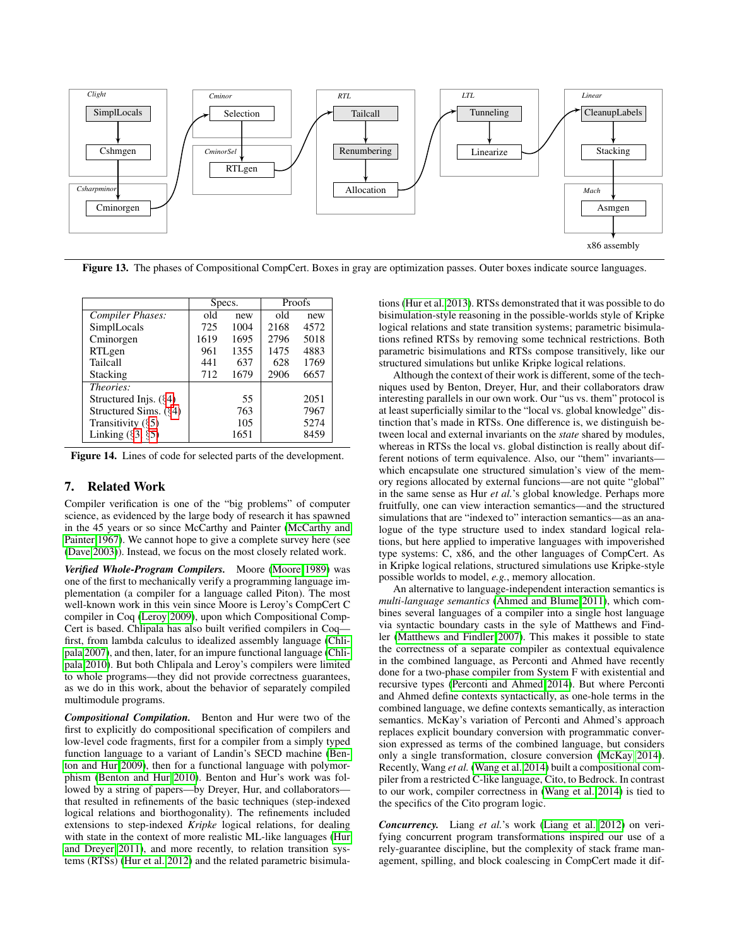

<span id="page-11-0"></span>Figure 13. The phases of Compositional CompCert. Boxes in gray are optimization passes. Outer boxes indicate source languages.

|                          | Specs. |      | Proofs |      |
|--------------------------|--------|------|--------|------|
| <b>Compiler Phases:</b>  | old    | new  | old    | new  |
| SimplLocals              | 725    | 1004 | 2168   | 4572 |
| Cminorgen                | 1619   | 1695 | 2796   | 5018 |
| RTLgen                   | 961    | 1355 | 1475   | 4883 |
| Tailcall                 | 441    | 637  | 628    | 1769 |
| Stacking                 | 712    | 1679 | 2906   | 6657 |
| Theories:                |        |      |        |      |
| Structured Injs. $(\S4)$ |        | 55   |        | 2051 |
| Structured Sims. (§4)    |        | 763  |        | 7967 |
| Transitivity $(\S5)$     |        | 105  |        | 5274 |
| Linking $(83, 85)$       |        | 1651 |        | 8459 |

<span id="page-11-1"></span>Figure 14. Lines of code for selected parts of the development.

# 7. Related Work

Compiler verification is one of the "big problems" of computer science, as evidenced by the large body of research it has spawned in the 45 years or so since McCarthy and Painter [\(McCarthy and](#page-12-7) [Painter 1967\)](#page-12-7). We cannot hope to give a complete survey here (see [\(Dave 2003\)](#page-12-8)). Instead, we focus on the most closely related work.

*Verified Whole-Program Compilers.* Moore [\(Moore 1989\)](#page-12-9) was one of the first to mechanically verify a programming language implementation (a compiler for a language called Piton). The most well-known work in this vein since Moore is Leroy's CompCert C compiler in Coq [\(Leroy 2009\)](#page-12-0), upon which Compositional Comp-Cert is based. Chlipala has also built verified compilers in Coq first, from lambda calculus to idealized assembly language [\(Chli](#page-12-10)[pala 2007\)](#page-12-10), and then, later, for an impure functional language [\(Chli](#page-12-11)[pala 2010\)](#page-12-11). But both Chlipala and Leroy's compilers were limited to whole programs—they did not provide correctness guarantees, as we do in this work, about the behavior of separately compiled multimodule programs.

*Compositional Compilation.* Benton and Hur were two of the first to explicitly do compositional specification of compilers and low-level code fragments, first for a compiler from a simply typed function language to a variant of Landin's SECD machine [\(Ben](#page-12-12)[ton and Hur 2009\)](#page-12-12), then for a functional language with polymorphism [\(Benton and Hur 2010\)](#page-12-13). Benton and Hur's work was followed by a string of papers—by Dreyer, Hur, and collaborators that resulted in refinements of the basic techniques (step-indexed logical relations and biorthogonality). The refinements included extensions to step-indexed *Kripke* logical relations, for dealing with state in the context of more realistic ML-like languages [\(Hur](#page-12-14) [and Dreyer 2011\)](#page-12-14), and more recently, to relation transition systems (RTSs) [\(Hur et al. 2012\)](#page-12-15) and the related parametric bisimulations [\(Hur et al. 2013\)](#page-12-16). RTSs demonstrated that it was possible to do bisimulation-style reasoning in the possible-worlds style of Kripke logical relations and state transition systems; parametric bisimulations refined RTSs by removing some technical restrictions. Both parametric bisimulations and RTSs compose transitively, like our structured simulations but unlike Kripke logical relations.

Although the context of their work is different, some of the techniques used by Benton, Dreyer, Hur, and their collaborators draw interesting parallels in our own work. Our "us vs. them" protocol is at least superficially similar to the "local vs. global knowledge" distinction that's made in RTSs. One difference is, we distinguish between local and external invariants on the *state* shared by modules, whereas in RTSs the local vs. global distinction is really about different notions of term equivalence. Also, our "them" invariants which encapsulate one structured simulation's view of the memory regions allocated by external funcions—are not quite "global" in the same sense as Hur *et al.*'s global knowledge. Perhaps more fruitfully, one can view interaction semantics—and the structured simulations that are "indexed to" interaction semantics—as an analogue of the type structure used to index standard logical relations, but here applied to imperative languages with impoverished type systems: C, x86, and the other languages of CompCert. As in Kripke logical relations, structured simulations use Kripke-style possible worlds to model, *e.g.*, memory allocation.

An alternative to language-independent interaction semantics is *multi-language semantics* [\(Ahmed and Blume 2011\)](#page-12-17), which combines several languages of a compiler into a single host language via syntactic boundary casts in the syle of Matthews and Findler [\(Matthews and Findler 2007\)](#page-12-18). This makes it possible to state the correctness of a separate compiler as contextual equivalence in the combined language, as Perconti and Ahmed have recently done for a two-phase compiler from System F with existential and recursive types [\(Perconti and Ahmed 2014\)](#page-12-19). But where Perconti and Ahmed define contexts syntactically, as one-hole terms in the combined language, we define contexts semantically, as interaction semantics. McKay's variation of Perconti and Ahmed's approach replaces explicit boundary conversion with programmatic conversion expressed as terms of the combined language, but considers only a single transformation, closure conversion [\(McKay 2014\)](#page-12-20). Recently, Wang *et al.* [\(Wang et al. 2014\)](#page-12-21) built a compositional compiler from a restricted C-like language, Cito, to Bedrock. In contrast to our work, compiler correctness in [\(Wang et al. 2014\)](#page-12-21) is tied to the specifics of the Cito program logic.

*Concurrency.* Liang *et al.*'s work [\(Liang et al. 2012\)](#page-12-2) on verifying concurrent program transformations inspired our use of a rely-guarantee discipline, but the complexity of stack frame management, spilling, and block coalescing in CompCert made it dif